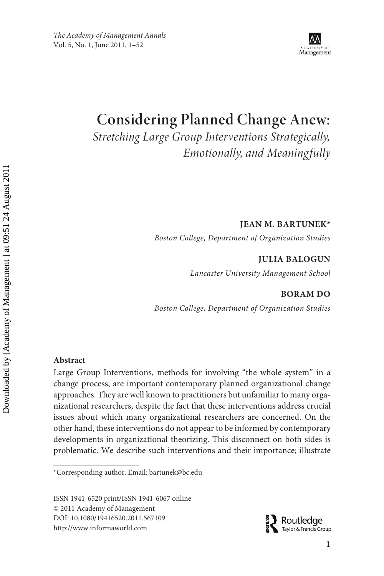

# **Considering Planned Change Anew:**

*Stretching Large Group Interventions Strategically, Emotionally, and Meaning fully*

**JEAN M. BARTUNEK\***

*Boston College, Department of Organization Studies*

**JULIA BALOGUN**

*Lancaster University Management School*

**BORAM DO** *Boston College, Department of Organization Studies*

# Taylor and Francis RAMA\_A\_567109.sgm 10.1080/19416520.2011.567109 The Academy of Management Annals 1941-6520 (print)/1941-6067(online)Original Article <sup>2011</sup> & Francis <sup>0000002011</sup> JeanBartunekbartunek@bc.edu **Abstract**

Large Group Interventions, methods for involving "the whole system" in a change process, are important contemporary planned organizational change approaches. They are well known to practitioners but unfamiliar to many organizational researchers, despite the fact that these interventions address crucial issues about which many organizational researchers are concerned. On the other hand, these interventions do not appear to be informed by contemporary developments in organizational theorizing. This disconnect on both sides is problematic. We describe such interventions and their importance; illustrate

ISSN 1941-6520 print/ISSN 1941-6067 online © 2011 Academy of Management DOI: 10.1080/19416520.2011.567109 http://www.informaworld.com



<sup>\*</sup>Corresponding author. Email: bartunek@bc.edu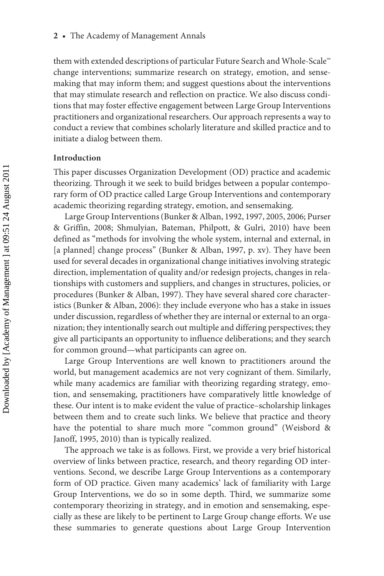them with extended descriptions of particular Future Search and Whole-Scale™ change interventions; summarize research on strategy, emotion, and sensemaking that may inform them; and suggest questions about the interventions that may stimulate research and reflection on practice. We also discuss conditions that may foster effective engagement between Large Group Interventions practitioners and organizational researchers. Our approach represents a way to conduct a review that combines scholarly literature and skilled practice and to initiate a dialog between them.

## **Introduction**

This paper discusses Organization Development (OD) practice and academic theorizing. Through it we seek to build bridges between a popular contemporary form of OD practice called Large Group Interventions and contemporary academic theorizing regarding strategy, emotion, and sensemaking.

Large Group Interventions (Bunker & Alban, 1992, 1997, 2005, 2006; Purser & Griffin, 2008; Shmulyian, Bateman, Philpott, & Gulri, 2010) have been defined as "methods for involving the whole system, internal and external, in [a planned] change process" (Bunker & Alban, 1997, p. xv). They have been used for several decades in organizational change initiatives involving strategic direction, implementation of quality and/or redesign projects, changes in relationships with customers and suppliers, and changes in structures, policies, or procedures (Bunker & Alban, 1997). They have several shared core characteristics (Bunker & Alban, 2006): they include everyone who has a stake in issues under discussion, regardless of whether they are internal or external to an organization; they intentionally search out multiple and differing perspectives; they give all participants an opportunity to influence deliberations; and they search for common ground—what participants can agree on.

Large Group Interventions are well known to practitioners around the world, but management academics are not very cognizant of them. Similarly, while many academics are familiar with theorizing regarding strategy, emotion, and sensemaking, practitioners have comparatively little knowledge of these. Our intent is to make evident the value of practice–scholarship linkages between them and to create such links. We believe that practice and theory have the potential to share much more "common ground" (Weisbord & Janoff, 1995, 2010) than is typically realized.

The approach we take is as follows. First, we provide a very brief historical overview of links between practice, research, and theory regarding OD interventions. Second, we describe Large Group Interventions as a contemporary form of OD practice. Given many academics' lack of familiarity with Large Group Interventions, we do so in some depth. Third, we summarize some contemporary theorizing in strategy, and in emotion and sensemaking, especially as these are likely to be pertinent to Large Group change efforts. We use these summaries to generate questions about Large Group Intervention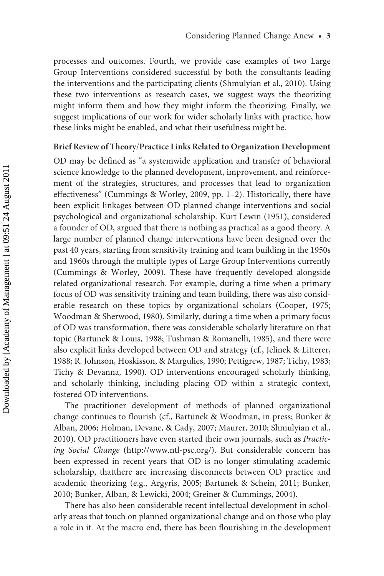processes and outcomes. Fourth, we provide case examples of two Large Group Interventions considered successful by both the consultants leading the interventions and the participating clients (Shmulyian et al., 2010). Using these two interventions as research cases, we suggest ways the theorizing might inform them and how they might inform the theorizing. Finally, we suggest implications of our work for wider scholarly links with practice, how these links might be enabled, and what their usefulness might be.

## **Brief Review of Theory/Practice Links Related to Organization Development**

OD may be defined as "a systemwide application and transfer of behavioral science knowledge to the planned development, improvement, and reinforcement of the strategies, structures, and processes that lead to organization effectiveness" (Cummings & Worley, 2009, pp. 1–2). Historically, there have been explicit linkages between OD planned change interventions and social psychological and organizational scholarship. Kurt Lewin (1951), considered a founder of OD, argued that there is nothing as practical as a good theory. A large number of planned change interventions have been designed over the past 40 years, starting from sensitivity training and team building in the 1950s and 1960s through the multiple types of Large Group Interventions currently (Cummings & Worley, 2009). These have frequently developed alongside related organizational research. For example, during a time when a primary focus of OD was sensitivity training and team building, there was also considerable research on these topics by organizational scholars (Cooper, 1975; Woodman & Sherwood, 1980). Similarly, during a time when a primary focus of OD was transformation, there was considerable scholarly literature on that topic (Bartunek & Louis, 1988; Tushman & Romanelli, 1985), and there were also explicit links developed between OD and strategy (cf., Jelinek & Litterer, 1988; R. Johnson, Hoskisson, & Margulies, 1990; Pettigrew, 1987; Tichy, 1983; Tichy & Devanna, 1990). OD interventions encouraged scholarly thinking, and scholarly thinking, including placing OD within a strategic context, fostered OD interventions.

The practitioner development of methods of planned organizational change continues to flourish (cf., Bartunek & Woodman, in press; Bunker & Alban, 2006; Holman, Devane, & Cady, 2007; Maurer, 2010; Shmulyian et al., 2010). OD practitioners have even started their own journals, such as *Practicing Social Change* (http://www.ntl-psc.org/). But considerable concern has been expressed in recent years that OD is no longer stimulating academic scholarship, thatthere are increasing disconnects between OD practice and academic theorizing (e.g., Argyris, 2005; Bartunek & Schein, 2011; Bunker, 2010; Bunker, Alban, & Lewicki, 2004; Greiner & Cummings, 2004).

There has also been considerable recent intellectual development in scholarly areas that touch on planned organizational change and on those who play a role in it. At the macro end, there has been flourishing in the development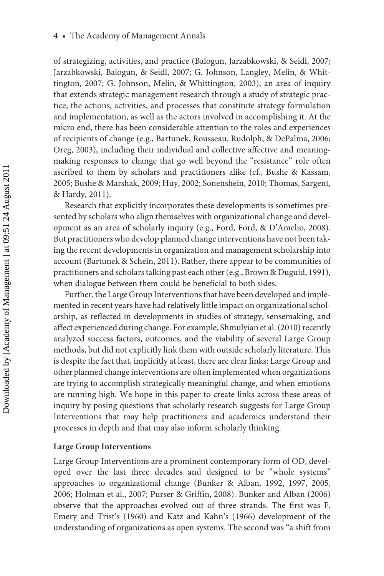of strategizing, activities, and practice (Balogun, Jarzabkowski, & Seidl, 2007; Jarzabkowski, Balogun, & Seidl, 2007; G. Johnson, Langley, Melin, & Whittington, 2007; G. Johnson, Melin, & Whittington, 2003), an area of inquiry that extends strategic management research through a study of strategic practice, the actions, activities, and processes that constitute strategy formulation and implementation, as well as the actors involved in accomplishing it. At the micro end, there has been considerable attention to the roles and experiences of recipients of change (e.g., Bartunek, Rousseau, Rudolph, & DePalma, 2006; Oreg, 2003), including their individual and collective affective and meaningmaking responses to change that go well beyond the "resistance" role often ascribed to them by scholars and practitioners alike (cf., Bushe & Kassam, 2005; Bushe & Marshak, 2009; Huy, 2002; Sonenshein, 2010; Thomas, Sargent, & Hardy, 2011).

Research that explicitly incorporates these developments is sometimes presented by scholars who align themselves with organizational change and development as an area of scholarly inquiry (e.g., Ford, Ford, & D'Amelio, 2008). But practitioners who develop planned change interventions have not been taking the recent developments in organization and management scholarship into account (Bartunek & Schein, 2011). Rather, there appear to be communities of practitioners and scholars talking past each other (e.g., Brown & Duguid, 1991), when dialogue between them could be beneficial to both sides.

Further, the Large Group Interventions that have been developed and implemented in recent years have had relatively little impact on organizational scholarship, as reflected in developments in studies of strategy, sensemaking, and affect experienced during change. For example, Shmulyian et al. (2010) recently analyzed success factors, outcomes, and the viability of several Large Group methods, but did not explicitly link them with outside scholarly literature. This is despite the fact that, implicitly at least, there are clear links: Large Group and other planned change interventions are often implemented when organizations are trying to accomplish strategically meaningful change, and when emotions are running high. We hope in this paper to create links across these areas of inquiry by posing questions that scholarly research suggests for Large Group Interventions that may help practitioners and academics understand their processes in depth and that may also inform scholarly thinking.

#### **Large Group Interventions**

Large Group Interventions are a prominent contemporary form of OD, developed over the last three decades and designed to be "whole systems" approaches to organizational change (Bunker & Alban, 1992, 1997, 2005, 2006; Holman et al., 2007; Purser & Griffin, 2008). Bunker and Alban (2006) observe that the approaches evolved out of three strands. The first was F. Emery and Trist's (1960) and Katz and Kahn's (1966) development of the understanding of organizations as open systems. The second was "a shift from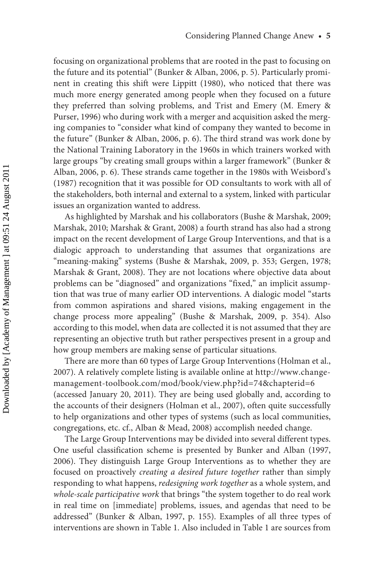focusing on organizational problems that are rooted in the past to focusing on the future and its potential" (Bunker & Alban, 2006, p. 5). Particularly prominent in creating this shift were Lippitt (1980), who noticed that there was much more energy generated among people when they focused on a future they preferred than solving problems, and Trist and Emery (M. Emery & Purser, 1996) who during work with a merger and acquisition asked the merging companies to "consider what kind of company they wanted to become in the future" (Bunker & Alban, 2006, p. 6). The third strand was work done by the National Training Laboratory in the 1960s in which trainers worked with large groups "by creating small groups within a larger framework" (Bunker & Alban, 2006, p. 6). These strands came together in the 1980s with Weisbord's (1987) recognition that it was possible for OD consultants to work with all of the stakeholders, both internal and external to a system, linked with particular issues an organization wanted to address.

As highlighted by Marshak and his collaborators (Bushe & Marshak, 2009; Marshak, 2010; Marshak & Grant, 2008) a fourth strand has also had a strong impact on the recent development of Large Group Interventions, and that is a dialogic approach to understanding that assumes that organizations are "meaning-making" systems (Bushe & Marshak, 2009, p. 353; Gergen, 1978; Marshak & Grant, 2008). They are not locations where objective data about problems can be "diagnosed" and organizations "fixed," an implicit assumption that was true of many earlier OD interventions. A dialogic model "starts from common aspirations and shared visions, making engagement in the change process more appealing" (Bushe & Marshak, 2009, p. 354). Also according to this model, when data are collected it is not assumed that they are representing an objective truth but rather perspectives present in a group and how group members are making sense of particular situations.

There are more than 60 types of Large Group Interventions (Holman et al., 2007). A relatively complete listing is available online at http://www.changemanagement-toolbook.com/mod/book/view.php?id=74&chapterid=6 (accessed January 20, 2011). They are being used globally and, according to the accounts of their designers (Holman et al., 2007), often quite successfully to help organizations and other types of systems (such as local communities, congregations, etc. cf., Alban & Mead, 2008) accomplish needed change.

The Large Group Interventions may be divided into several different types. One useful classification scheme is presented by Bunker and Alban (1997, 2006). They distinguish Large Group Interventions as to whether they are focused on proactively *creating a desired future together* rather than simply responding to what happens, *redesigning work together* as a whole system, and *whole-scale participative work* that brings "the system together to do real work in real time on [immediate] problems, issues, and agendas that need to be addressed" (Bunker & Alban, 1997, p. 155). Examples of all three types of interventions are shown in Table 1. Also included in Table 1 are sources from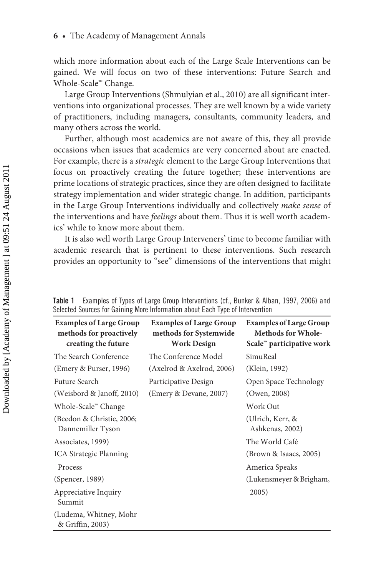which more information about each of the Large Scale Interventions can be gained. We will focus on two of these interventions: Future Search and Whole-Scale™ Change.

Large Group Interventions (Shmulyian et al., 2010) are all significant interventions into organizational processes. They are well known by a wide variety of practitioners, including managers, consultants, community leaders, and many others across the world.

Further, although most academics are not aware of this, they all provide occasions when issues that academics are very concerned about are enacted. For example, there is a *strategic* element to the Large Group Interventions that focus on proactively creating the future together; these interventions are prime locations of strategic practices, since they are often designed to facilitate strategy implementation and wider strategic change. In addition, participants in the Large Group Interventions individually and collectively *make sense* of the interventions and have *feelings* about them. Thus it is well worth academics' while to know more about them.

It is also well worth Large Group Interveners' time to become familiar with academic research that is pertinent to these interventions. Such research provides an opportunity to "see" dimensions of the interventions that might

| <b>Examples of Large Group</b><br>methods for proactively<br>creating the future | <b>Examples of Large Group</b><br>methods for Systemwide<br><b>Work Design</b> | <b>Examples of Large Group</b><br><b>Methods for Whole-</b><br>Scale™ participative work |
|----------------------------------------------------------------------------------|--------------------------------------------------------------------------------|------------------------------------------------------------------------------------------|
| The Search Conference                                                            | The Conference Model                                                           | SimuReal                                                                                 |
| (Emery & Purser, 1996)                                                           | (Axelrod & Axelrod, 2006)                                                      | (Klein, 1992)                                                                            |
| Future Search                                                                    | Participative Design                                                           | Open Space Technology                                                                    |
| (Weisbord & Janoff, 2010)                                                        | (Emery & Devane, 2007)                                                         | (Owen, 2008)                                                                             |
| Whole-Scale™ Change                                                              |                                                                                | Work Out                                                                                 |
| (Beedon & Christie, 2006;<br>Dannemiller Tyson                                   |                                                                                | (Ulrich, Kerr, &<br>Ashkenas, 2002)                                                      |
| Associates, 1999)                                                                |                                                                                | The World Café                                                                           |
| <b>ICA Strategic Planning</b>                                                    |                                                                                | (Brown & Isaacs, 2005)                                                                   |
| Process                                                                          |                                                                                | America Speaks                                                                           |
| (Spencer, 1989)                                                                  |                                                                                | (Lukensmeyer & Brigham,                                                                  |
| Appreciative Inquiry<br>Summit                                                   |                                                                                | 2005)                                                                                    |
| (Ludema, Whitney, Mohr<br>& Griffin, 2003)                                       |                                                                                |                                                                                          |

Table 1 Examples of Types of Large Group Interventions (cf., Bunker & Alban, 1997, 2006) and Selected Sources for Gaining More Information about Each Type of Intervention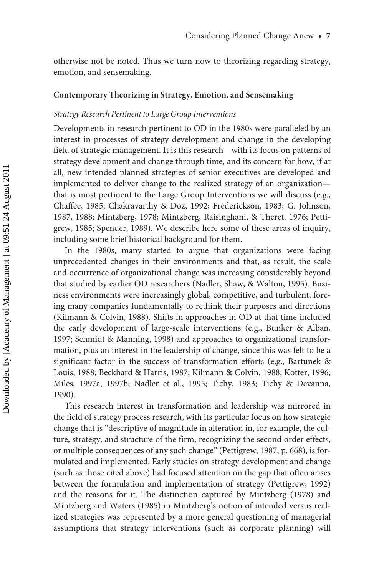otherwise not be noted. Thus we turn now to theorizing regarding strategy, emotion, and sensemaking.

## **Contemporary Theorizing in Strategy, Emotion, and Sensemaking**

### *Strategy Research Pertinent to Large Group Interventions*

Developments in research pertinent to OD in the 1980s were paralleled by an interest in processes of strategy development and change in the developing field of strategic management. It is this research—with its focus on patterns of strategy development and change through time, and its concern for how, if at all, new intended planned strategies of senior executives are developed and implemented to deliver change to the realized strategy of an organization that is most pertinent to the Large Group Interventions we will discuss (e.g., Chaffee, 1985; Chakravarthy & Doz, 1992; Frederickson, 1983; G. Johnson, 1987, 1988; Mintzberg, 1978; Mintzberg, Raisinghani, & Theret, 1976; Pettigrew, 1985; Spender, 1989). We describe here some of these areas of inquiry, including some brief historical background for them.

In the 1980s, many started to argue that organizations were facing unprecedented changes in their environments and that, as result, the scale and occurrence of organizational change was increasing considerably beyond that studied by earlier OD researchers (Nadler, Shaw, & Walton, 1995). Business environments were increasingly global, competitive, and turbulent, forcing many companies fundamentally to rethink their purposes and directions (Kilmann & Colvin, 1988). Shifts in approaches in OD at that time included the early development of large-scale interventions (e.g., Bunker & Alban, 1997; Schmidt & Manning, 1998) and approaches to organizational transformation, plus an interest in the leadership of change, since this was felt to be a significant factor in the success of transformation efforts (e.g., Bartunek & Louis, 1988; Beckhard & Harris, 1987; Kilmann & Colvin, 1988; Kotter, 1996; Miles, 1997a, 1997b; Nadler et al., 1995; Tichy, 1983; Tichy & Devanna, 1990).

This research interest in transformation and leadership was mirrored in the field of strategy process research, with its particular focus on how strategic change that is "descriptive of magnitude in alteration in, for example, the culture, strategy, and structure of the firm, recognizing the second order effects, or multiple consequences of any such change" (Pettigrew, 1987, p. 668), is formulated and implemented. Early studies on strategy development and change (such as those cited above) had focused attention on the gap that often arises between the formulation and implementation of strategy (Pettigrew, 1992) and the reasons for it. The distinction captured by Mintzberg (1978) and Mintzberg and Waters (1985) in Mintzberg's notion of intended versus realized strategies was represented by a more general questioning of managerial assumptions that strategy interventions (such as corporate planning) will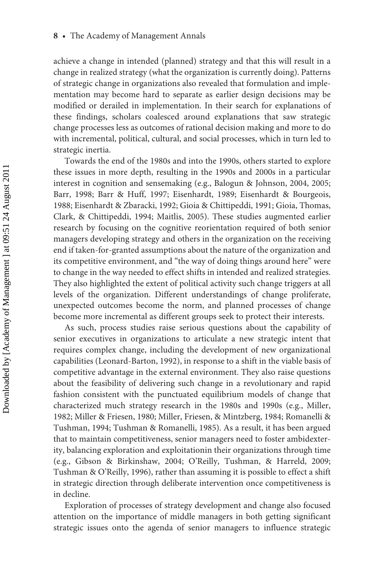achieve a change in intended (planned) strategy and that this will result in a change in realized strategy (what the organization is currently doing). Patterns of strategic change in organizations also revealed that formulation and implementation may become hard to separate as earlier design decisions may be modified or derailed in implementation. In their search for explanations of these findings, scholars coalesced around explanations that saw strategic change processes less as outcomes of rational decision making and more to do with incremental, political, cultural, and social processes, which in turn led to strategic inertia.

Towards the end of the 1980s and into the 1990s, others started to explore these issues in more depth, resulting in the 1990s and 2000s in a particular interest in cognition and sensemaking (e.g., Balogun & Johnson, 2004, 2005; Barr, 1998; Barr & Huff, 1997; Eisenhardt, 1989; Eisenhardt & Bourgeois, 1988; Eisenhardt & Zbaracki, 1992; Gioia & Chittipeddi, 1991; Gioia, Thomas, Clark, & Chittipeddi, 1994; Maitlis, 2005). These studies augmented earlier research by focusing on the cognitive reorientation required of both senior managers developing strategy and others in the organization on the receiving end if taken-for-granted assumptions about the nature of the organization and its competitive environment, and "the way of doing things around here" were to change in the way needed to effect shifts in intended and realized strategies. They also highlighted the extent of political activity such change triggers at all levels of the organization. Different understandings of change proliferate, unexpected outcomes become the norm, and planned processes of change become more incremental as different groups seek to protect their interests.

As such, process studies raise serious questions about the capability of senior executives in organizations to articulate a new strategic intent that requires complex change, including the development of new organizational capabilities (Leonard-Barton, 1992), in response to a shift in the viable basis of competitive advantage in the external environment. They also raise questions about the feasibility of delivering such change in a revolutionary and rapid fashion consistent with the punctuated equilibrium models of change that characterized much strategy research in the 1980s and 1990s (e.g., Miller, 1982; Miller & Friesen, 1980; Miller, Friesen, & Mintzberg, 1984; Romanelli & Tushman, 1994; Tushman & Romanelli, 1985). As a result, it has been argued that to maintain competitiveness, senior managers need to foster ambidexterity, balancing exploration and exploitationin their organizations through time (e.g., Gibson & Birkinshaw, 2004; O'Reilly, Tushman, & Harreld, 2009; Tushman & O'Reilly, 1996), rather than assuming it is possible to effect a shift in strategic direction through deliberate intervention once competitiveness is in decline.

Exploration of processes of strategy development and change also focused attention on the importance of middle managers in both getting significant strategic issues onto the agenda of senior managers to influence strategic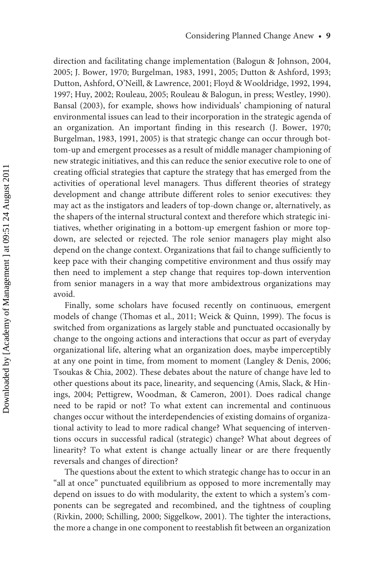direction and facilitating change implementation (Balogun & Johnson, 2004, 2005; J. Bower, 1970; Burgelman, 1983, 1991, 2005; Dutton & Ashford, 1993; Dutton, Ashford, O'Neill, & Lawrence, 2001; Floyd & Wooldridge, 1992, 1994, 1997; Huy, 2002; Rouleau, 2005; Rouleau & Balogun, in press; Westley, 1990). Bansal (2003), for example, shows how individuals' championing of natural environmental issues can lead to their incorporation in the strategic agenda of an organization. An important finding in this research (J. Bower, 1970; Burgelman, 1983, 1991, 2005) is that strategic change can occur through bottom-up and emergent processes as a result of middle manager championing of new strategic initiatives, and this can reduce the senior executive role to one of creating official strategies that capture the strategy that has emerged from the activities of operational level managers. Thus different theories of strategy development and change attribute different roles to senior executives: they may act as the instigators and leaders of top-down change or, alternatively, as the shapers of the internal structural context and therefore which strategic initiatives, whether originating in a bottom-up emergent fashion or more topdown, are selected or rejected. The role senior managers play might also depend on the change context. Organizations that fail to change sufficiently to keep pace with their changing competitive environment and thus ossify may then need to implement a step change that requires top-down intervention from senior managers in a way that more ambidextrous organizations may avoid.

Finally, some scholars have focused recently on continuous, emergent models of change (Thomas et al., 2011; Weick & Quinn, 1999). The focus is switched from organizations as largely stable and punctuated occasionally by change to the ongoing actions and interactions that occur as part of everyday organizational life, altering what an organization does, maybe imperceptibly at any one point in time, from moment to moment (Langley & Denis, 2006; Tsoukas & Chia, 2002). These debates about the nature of change have led to other questions about its pace, linearity, and sequencing (Amis, Slack, & Hinings, 2004; Pettigrew, Woodman, & Cameron, 2001). Does radical change need to be rapid or not? To what extent can incremental and continuous changes occur without the interdependencies of existing domains of organizational activity to lead to more radical change? What sequencing of interventions occurs in successful radical (strategic) change? What about degrees of linearity? To what extent is change actually linear or are there frequently reversals and changes of direction?

The questions about the extent to which strategic change has to occur in an "all at once" punctuated equilibrium as opposed to more incrementally may depend on issues to do with modularity, the extent to which a system's components can be segregated and recombined, and the tightness of coupling (Rivkin, 2000; Schilling, 2000; Siggelkow, 2001). The tighter the interactions, the more a change in one component to reestablish fit between an organization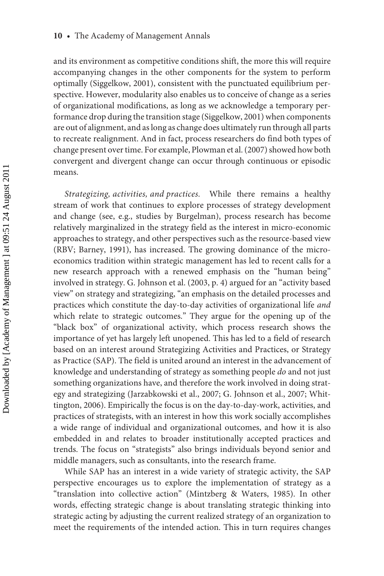and its environment as competitive conditions shift, the more this will require accompanying changes in the other components for the system to perform optimally (Siggelkow, 2001), consistent with the punctuated equilibrium perspective. However, modularity also enables us to conceive of change as a series of organizational modifications, as long as we acknowledge a temporary performance drop during the transition stage (Siggelkow, 2001) when components are out of alignment, and as long as change does ultimately run through all parts to recreate realignment. And in fact, process researchers do find both types of change present over time. For example, Plowman et al. (2007) showed how both convergent and divergent change can occur through continuous or episodic means.

*Strategizing, activities, and practices.* While there remains a healthy stream of work that continues to explore processes of strategy development and change (see, e.g., studies by Burgelman), process research has become relatively marginalized in the strategy field as the interest in micro-economic approaches to strategy, and other perspectives such as the resource-based view (RBV; Barney, 1991), has increased. The growing dominance of the microeconomics tradition within strategic management has led to recent calls for a new research approach with a renewed emphasis on the "human being" involved in strategy. G. Johnson et al. (2003, p. 4) argued for an "activity based view" on strategy and strategizing, "an emphasis on the detailed processes and practices which constitute the day-to-day activities of organizational life *and* which relate to strategic outcomes." They argue for the opening up of the "black box" of organizational activity, which process research shows the importance of yet has largely left unopened. This has led to a field of research based on an interest around Strategizing Activities and Practices, or Strategy as Practice (SAP). The field is united around an interest in the advancement of knowledge and understanding of strategy as something people *do* and not just something organizations have, and therefore the work involved in doing strategy and strategizing (Jarzabkowski et al., 2007; G. Johnson et al., 2007; Whittington, 2006). Empirically the focus is on the day-to-day-work, activities, and practices of strategists, with an interest in how this work socially accomplishes a wide range of individual and organizational outcomes, and how it is also embedded in and relates to broader institutionally accepted practices and trends. The focus on "strategists" also brings individuals beyond senior and middle managers, such as consultants, into the research frame.

While SAP has an interest in a wide variety of strategic activity, the SAP perspective encourages us to explore the implementation of strategy as a "translation into collective action" (Mintzberg & Waters, 1985). In other words, effecting strategic change is about translating strategic thinking into strategic acting by adjusting the current realized strategy of an organization to meet the requirements of the intended action. This in turn requires changes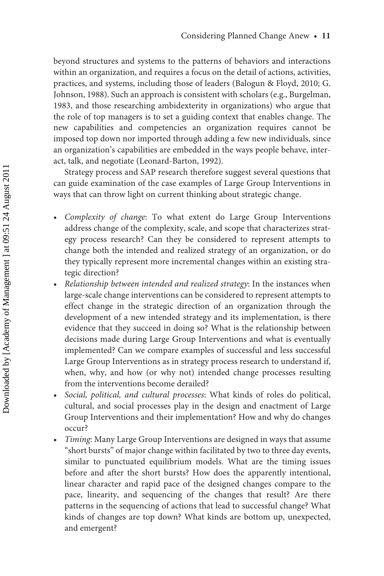beyond structures and systems to the patterns of behaviors and interactions within an organization, and requires a focus on the detail of actions, activities, practices, and systems, including those of leaders (Balogun & Floyd, 2010; G. Johnson, 1988). Such an approach is consistent with scholars (e.g., Burgelman, 1983, and those researching ambidexterity in organizations) who argue that the role of top managers is to set a guiding context that enables change. The new capabilities and competencies an organization requires cannot be imposed top down nor imported through adding a few new individuals, since an organization's capabilities are embedded in the ways people behave, interact, talk, and negotiate (Leonard-Barton, 1992).

Strategy process and SAP research therefore suggest several questions that can guide examination of the case examples of Large Group Interventions in ways that can throw light on current thinking about strategic change.

- *Complexity of change*: To what extent do Large Group Interventions address change of the complexity, scale, and scope that characterizes strategy process research? Can they be considered to represent attempts to change both the intended and realized strategy of an organization, or do they typically represent more incremental changes within an existing strategic direction?
- *Relationship between intended and realized strategy*: In the instances when large-scale change interventions can be considered to represent attempts to effect change in the strategic direction of an organization through the development of a new intended strategy and its implementation, is there evidence that they succeed in doing so? What is the relationship between decisions made during Large Group Interventions and what is eventually implemented? Can we compare examples of successful and less successful Large Group Interventions as in strategy process research to understand if, when, why, and how (or why not) intended change processes resulting from the interventions become derailed?
- *Social, political, and cultural processes*: What kinds of roles do political, cultural, and social processes play in the design and enactment of Large Group Interventions and their implementation? How and why do changes occur?
- *Timing*: Many Large Group Interventions are designed in ways that assume "short bursts" of major change within facilitated by two to three day events, similar to punctuated equilibrium models. What are the timing issues before and after the short bursts? How does the apparently intentional, linear character and rapid pace of the designed changes compare to the pace, linearity, and sequencing of the changes that result? Are there patterns in the sequencing of actions that lead to successful change? What kinds of changes are top down? What kinds are bottom up, unexpected, and emergent?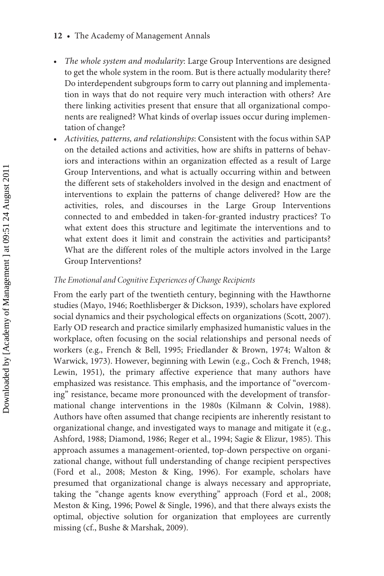- *The whole system and modularity*: Large Group Interventions are designed to get the whole system in the room. But is there actually modularity there? Do interdependent subgroups form to carry out planning and implementation in ways that do not require very much interaction with others? Are there linking activities present that ensure that all organizational components are realigned? What kinds of overlap issues occur during implementation of change?
- *Activities, patterns, and relationships*: Consistent with the focus within SAP on the detailed actions and activities, how are shifts in patterns of behaviors and interactions within an organization effected as a result of Large Group Interventions, and what is actually occurring within and between the different sets of stakeholders involved in the design and enactment of interventions to explain the patterns of change delivered? How are the activities, roles, and discourses in the Large Group Interventions connected to and embedded in taken-for-granted industry practices? To what extent does this structure and legitimate the interventions and to what extent does it limit and constrain the activities and participants? What are the different roles of the multiple actors involved in the Large Group Interventions?

## *The Emotional and Cognitive Experiences of Change Recipients*

From the early part of the twentieth century, beginning with the Hawthorne studies (Mayo, 1946; Roethlisberger & Dickson, 1939), scholars have explored social dynamics and their psychological effects on organizations (Scott, 2007). Early OD research and practice similarly emphasized humanistic values in the workplace, often focusing on the social relationships and personal needs of workers (e.g., French & Bell, 1995; Friedlander & Brown, 1974; Walton & Warwick, 1973). However, beginning with Lewin (e.g., Coch & French, 1948; Lewin, 1951), the primary affective experience that many authors have emphasized was resistance. This emphasis, and the importance of "overcoming" resistance, became more pronounced with the development of transformational change interventions in the 1980s (Kilmann & Colvin, 1988). Authors have often assumed that change recipients are inherently resistant to organizational change, and investigated ways to manage and mitigate it (e.g., Ashford, 1988; Diamond, 1986; Reger et al., 1994; Sagie & Elizur, 1985). This approach assumes a management-oriented, top-down perspective on organizational change, without full understanding of change recipient perspectives (Ford et al., 2008; Meston & King, 1996). For example, scholars have presumed that organizational change is always necessary and appropriate, taking the "change agents know everything" approach (Ford et al., 2008; Meston & King, 1996; Powel & Single, 1996), and that there always exists the optimal, objective solution for organization that employees are currently missing (cf., Bushe & Marshak, 2009).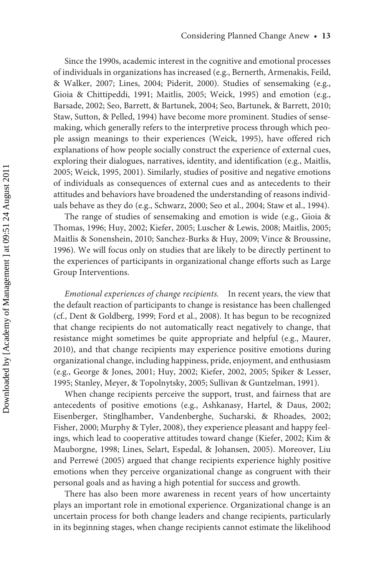Since the 1990s, academic interest in the cognitive and emotional processes of individuals in organizations has increased (e.g., Bernerth, Armenakis, Feild, & Walker, 2007; Lines, 2004; Piderit, 2000). Studies of sensemaking (e.g., Gioia & Chittipeddi, 1991; Maitlis, 2005; Weick, 1995) and emotion (e.g., Barsade, 2002; Seo, Barrett, & Bartunek, 2004; Seo, Bartunek, & Barrett, 2010; Staw, Sutton, & Pelled, 1994) have become more prominent. Studies of sensemaking, which generally refers to the interpretive process through which people assign meanings to their experiences (Weick, 1995), have offered rich explanations of how people socially construct the experience of external cues, exploring their dialogues, narratives, identity, and identification (e.g., Maitlis, 2005; Weick, 1995, 2001). Similarly, studies of positive and negative emotions of individuals as consequences of external cues and as antecedents to their attitudes and behaviors have broadened the understanding of reasons individuals behave as they do (e.g., Schwarz, 2000; Seo et al., 2004; Staw et al., 1994).

The range of studies of sensemaking and emotion is wide (e.g., Gioia & Thomas, 1996; Huy, 2002; Kiefer, 2005; Luscher & Lewis, 2008; Maitlis, 2005; Maitlis & Sonenshein, 2010; Sanchez-Burks & Huy, 2009; Vince & Broussine, 1996). We will focus only on studies that are likely to be directly pertinent to the experiences of participants in organizational change efforts such as Large Group Interventions.

*Emotional experiences of change recipients.* In recent years, the view that the default reaction of participants to change is resistance has been challenged (cf., Dent & Goldberg, 1999; Ford et al., 2008). It has begun to be recognized that change recipients do not automatically react negatively to change, that resistance might sometimes be quite appropriate and helpful (e.g., Maurer, 2010), and that change recipients may experience positive emotions during organizational change, including happiness, pride, enjoyment, and enthusiasm (e.g., George & Jones, 2001; Huy, 2002; Kiefer, 2002, 2005; Spiker & Lesser, 1995; Stanley, Meyer, & Topolnytsky, 2005; Sullivan & Guntzelman, 1991).

When change recipients perceive the support, trust, and fairness that are antecedents of positive emotions (e.g., Ashkanasy, Hartel, & Daus, 2002; Eisenberger, Stinglhamber, Vandenberghe, Sucharski, & Rhoades, 2002; Fisher, 2000; Murphy & Tyler, 2008), they experience pleasant and happy feelings, which lead to cooperative attitudes toward change (Kiefer, 2002; Kim & Mauborgne, 1998; Lines, Selart, Espedal, & Johansen, 2005). Moreover, Liu and Perrewé (2005) argued that change recipients experience highly positive emotions when they perceive organizational change as congruent with their personal goals and as having a high potential for success and growth.

There has also been more awareness in recent years of how uncertainty plays an important role in emotional experience. Organizational change is an uncertain process for both change leaders and change recipients, particularly in its beginning stages, when change recipients cannot estimate the likelihood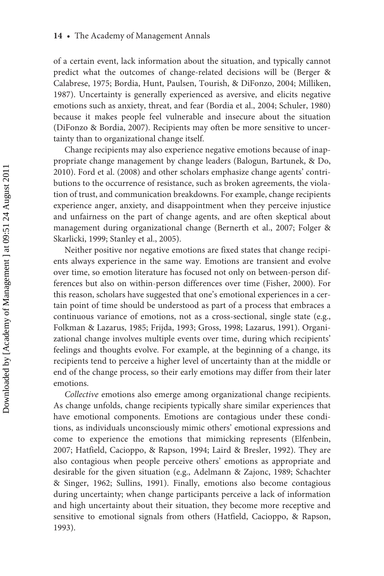of a certain event, lack information about the situation, and typically cannot predict what the outcomes of change-related decisions will be (Berger & Calabrese, 1975; Bordia, Hunt, Paulsen, Tourish, & DiFonzo, 2004; Milliken, 1987). Uncertainty is generally experienced as aversive, and elicits negative emotions such as anxiety, threat, and fear (Bordia et al., 2004; Schuler, 1980) because it makes people feel vulnerable and insecure about the situation (DiFonzo & Bordia, 2007). Recipients may often be more sensitive to uncertainty than to organizational change itself.

Change recipients may also experience negative emotions because of inappropriate change management by change leaders (Balogun, Bartunek, & Do, 2010). Ford et al. (2008) and other scholars emphasize change agents' contributions to the occurrence of resistance, such as broken agreements, the violation of trust, and communication breakdowns. For example, change recipients experience anger, anxiety, and disappointment when they perceive injustice and unfairness on the part of change agents, and are often skeptical about management during organizational change (Bernerth et al., 2007; Folger & Skarlicki, 1999; Stanley et al., 2005).

Neither positive nor negative emotions are fixed states that change recipients always experience in the same way. Emotions are transient and evolve over time, so emotion literature has focused not only on between-person differences but also on within-person differences over time (Fisher, 2000). For this reason, scholars have suggested that one's emotional experiences in a certain point of time should be understood as part of a process that embraces a continuous variance of emotions, not as a cross-sectional, single state (e.g., Folkman & Lazarus, 1985; Frijda, 1993; Gross, 1998; Lazarus, 1991). Organizational change involves multiple events over time, during which recipients' feelings and thoughts evolve. For example, at the beginning of a change, its recipients tend to perceive a higher level of uncertainty than at the middle or end of the change process, so their early emotions may differ from their later emotions.

*Collective* emotions also emerge among organizational change recipients. As change unfolds, change recipients typically share similar experiences that have emotional components. Emotions are contagious under these conditions, as individuals unconsciously mimic others' emotional expressions and come to experience the emotions that mimicking represents (Elfenbein, 2007; Hatfield, Cacioppo, & Rapson, 1994; Laird & Bresler, 1992). They are also contagious when people perceive others' emotions as appropriate and desirable for the given situation (e.g., Adelmann & Zajonc, 1989; Schachter & Singer, 1962; Sullins, 1991). Finally, emotions also become contagious during uncertainty; when change participants perceive a lack of information and high uncertainty about their situation, they become more receptive and sensitive to emotional signals from others (Hatfield, Cacioppo, & Rapson, 1993).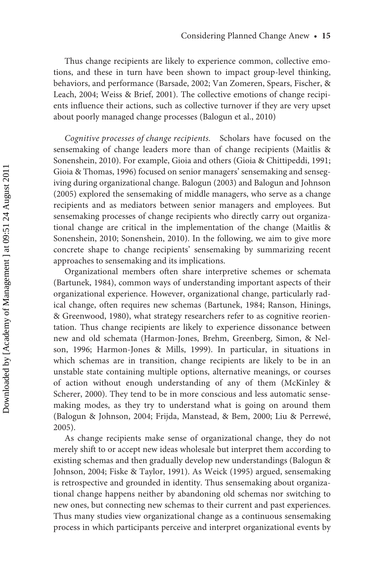Thus change recipients are likely to experience common, collective emotions, and these in turn have been shown to impact group-level thinking, behaviors, and performance (Barsade, 2002; Van Zomeren, Spears, Fischer, & Leach, 2004; Weiss & Brief, 2001). The collective emotions of change recipients influence their actions, such as collective turnover if they are very upset about poorly managed change processes (Balogun et al., 2010)

*Cognitive processes of change recipients.* Scholars have focused on the sensemaking of change leaders more than of change recipients (Maitlis & Sonenshein, 2010). For example, Gioia and others (Gioia & Chittipeddi, 1991; Gioia & Thomas, 1996) focused on senior managers' sensemaking and sensegiving during organizational change. Balogun (2003) and Balogun and Johnson (2005) explored the sensemaking of middle managers, who serve as a change recipients and as mediators between senior managers and employees. But sensemaking processes of change recipients who directly carry out organizational change are critical in the implementation of the change (Maitlis & Sonenshein, 2010; Sonenshein, 2010). In the following, we aim to give more concrete shape to change recipients' sensemaking by summarizing recent approaches to sensemaking and its implications.

Organizational members often share interpretive schemes or schemata (Bartunek, 1984), common ways of understanding important aspects of their organizational experience. However, organizational change, particularly radical change, often requires new schemas (Bartunek, 1984; Ranson, Hinings, & Greenwood, 1980), what strategy researchers refer to as cognitive reorientation. Thus change recipients are likely to experience dissonance between new and old schemata (Harmon-Jones, Brehm, Greenberg, Simon, & Nelson, 1996; Harmon-Jones & Mills, 1999). In particular, in situations in which schemas are in transition, change recipients are likely to be in an unstable state containing multiple options, alternative meanings, or courses of action without enough understanding of any of them (McKinley & Scherer, 2000). They tend to be in more conscious and less automatic sensemaking modes, as they try to understand what is going on around them (Balogun & Johnson, 2004; Frijda, Manstead, & Bem, 2000; Liu & Perrewé, 2005).

As change recipients make sense of organizational change, they do not merely shift to or accept new ideas wholesale but interpret them according to existing schemas and then gradually develop new understandings (Balogun & Johnson, 2004; Fiske & Taylor, 1991). As Weick (1995) argued, sensemaking is retrospective and grounded in identity. Thus sensemaking about organizational change happens neither by abandoning old schemas nor switching to new ones, but connecting new schemas to their current and past experiences. Thus many studies view organizational change as a continuous sensemaking process in which participants perceive and interpret organizational events by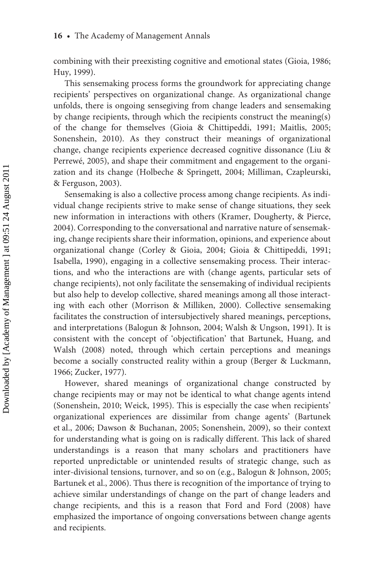combining with their preexisting cognitive and emotional states (Gioia, 1986; Huy, 1999).

This sensemaking process forms the groundwork for appreciating change recipients' perspectives on organizational change. As organizational change unfolds, there is ongoing sensegiving from change leaders and sensemaking by change recipients, through which the recipients construct the meaning(s) of the change for themselves (Gioia & Chittipeddi, 1991; Maitlis, 2005; Sonenshein, 2010). As they construct their meanings of organizational change, change recipients experience decreased cognitive dissonance (Liu & Perrewé, 2005), and shape their commitment and engagement to the organization and its change (Holbeche & Springett, 2004; Milliman, Czapleurski, & Ferguson, 2003).

Sensemaking is also a collective process among change recipients. As individual change recipients strive to make sense of change situations, they seek new information in interactions with others (Kramer, Dougherty, & Pierce, 2004). Corresponding to the conversational and narrative nature of sensemaking, change recipients share their information, opinions, and experience about organizational change (Corley & Gioia, 2004; Gioia & Chittipeddi, 1991; Isabella, 1990), engaging in a collective sensemaking process. Their interactions, and who the interactions are with (change agents, particular sets of change recipients), not only facilitate the sensemaking of individual recipients but also help to develop collective, shared meanings among all those interacting with each other (Morrison & Milliken, 2000). Collective sensemaking facilitates the construction of intersubjectively shared meanings, perceptions, and interpretations (Balogun & Johnson, 2004; Walsh & Ungson, 1991). It is consistent with the concept of 'objectification' that Bartunek, Huang, and Walsh (2008) noted, through which certain perceptions and meanings become a socially constructed reality within a group (Berger & Luckmann, 1966; Zucker, 1977).

However, shared meanings of organizational change constructed by change recipients may or may not be identical to what change agents intend (Sonenshein, 2010; Weick, 1995). This is especially the case when recipients' organizational experiences are dissimilar from change agents' (Bartunek et al., 2006; Dawson & Buchanan, 2005; Sonenshein, 2009), so their context for understanding what is going on is radically different. This lack of shared understandings is a reason that many scholars and practitioners have reported unpredictable or unintended results of strategic change, such as inter-divisional tensions, turnover, and so on (e.g., Balogun & Johnson, 2005; Bartunek et al., 2006). Thus there is recognition of the importance of trying to achieve similar understandings of change on the part of change leaders and change recipients, and this is a reason that Ford and Ford (2008) have emphasized the importance of ongoing conversations between change agents and recipients.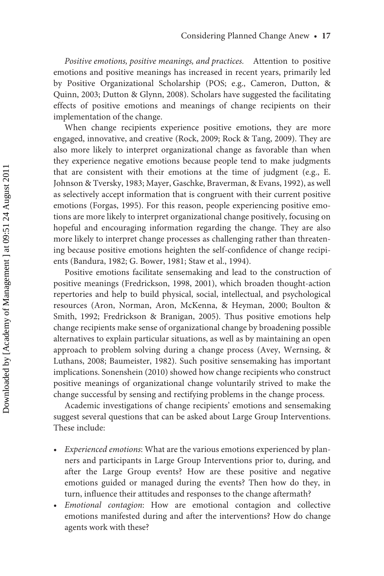*Positive emotions, positive meanings, and practices.* Attention to positive emotions and positive meanings has increased in recent years, primarily led by Positive Organizational Scholarship (POS; e.g., Cameron, Dutton, & Quinn, 2003; Dutton & Glynn, 2008). Scholars have suggested the facilitating effects of positive emotions and meanings of change recipients on their implementation of the change.

When change recipients experience positive emotions, they are more engaged, innovative, and creative (Rock, 2009; Rock & Tang, 2009). They are also more likely to interpret organizational change as favorable than when they experience negative emotions because people tend to make judgments that are consistent with their emotions at the time of judgment (e.g., E. Johnson & Tversky, 1983; Mayer, Gaschke, Braverman, & Evans, 1992), as well as selectively accept information that is congruent with their current positive emotions (Forgas, 1995). For this reason, people experiencing positive emotions are more likely to interpret organizational change positively, focusing on hopeful and encouraging information regarding the change. They are also more likely to interpret change processes as challenging rather than threatening because positive emotions heighten the self-confidence of change recipients (Bandura, 1982; G. Bower, 1981; Staw et al., 1994).

Positive emotions facilitate sensemaking and lead to the construction of positive meanings (Fredrickson, 1998, 2001), which broaden thought-action repertories and help to build physical, social, intellectual, and psychological resources (Aron, Norman, Aron, McKenna, & Heyman, 2000; Boulton & Smith, 1992; Fredrickson & Branigan, 2005). Thus positive emotions help change recipients make sense of organizational change by broadening possible alternatives to explain particular situations, as well as by maintaining an open approach to problem solving during a change process (Avey, Wernsing, & Luthans, 2008; Baumeister, 1982). Such positive sensemaking has important implications. Sonenshein (2010) showed how change recipients who construct positive meanings of organizational change voluntarily strived to make the change successful by sensing and rectifying problems in the change process.

Academic investigations of change recipients' emotions and sensemaking suggest several questions that can be asked about Large Group Interventions. These include:

- *Experienced emotions*: What are the various emotions experienced by planners and participants in Large Group Interventions prior to, during, and after the Large Group events? How are these positive and negative emotions guided or managed during the events? Then how do they, in turn, influence their attitudes and responses to the change aftermath?
- *Emotional contagion*: How are emotional contagion and collective emotions manifested during and after the interventions? How do change agents work with these?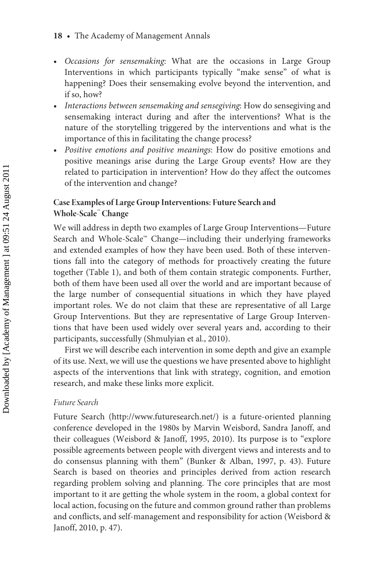- *Occasions for sensemaking*: What are the occasions in Large Group Interventions in which participants typically "make sense" of what is happening? Does their sensemaking evolve beyond the intervention, and if so, how?
- *Interactions between sensemaking and sensegiving*: How do sensegiving and sensemaking interact during and after the interventions? What is the nature of the storytelling triggered by the interventions and what is the importance of this in facilitating the change process?
- *Positive emotions and positive meanings*: How do positive emotions and positive meanings arise during the Large Group events? How are they related to participation in intervention? How do they affect the outcomes of the intervention and change?

# **Case Examples of Large Group Interventions: Future Search and Whole-Scale™ Change**

We will address in depth two examples of Large Group Interventions—Future Search and Whole-Scale™ Change—including their underlying frameworks and extended examples of how they have been used. Both of these interventions fall into the category of methods for proactively creating the future together (Table 1), and both of them contain strategic components. Further, both of them have been used all over the world and are important because of the large number of consequential situations in which they have played important roles. We do not claim that these are representative of all Large Group Interventions. But they are representative of Large Group Interventions that have been used widely over several years and, according to their participants, successfully (Shmulyian et al., 2010).

First we will describe each intervention in some depth and give an example of its use. Next, we will use the questions we have presented above to highlight aspects of the interventions that link with strategy, cognition, and emotion research, and make these links more explicit.

## *Future Search*

Future Search (http://www.futuresearch.net/) is a future-oriented planning conference developed in the 1980s by Marvin Weisbord, Sandra Janoff, and their colleagues (Weisbord & Janoff, 1995, 2010). Its purpose is to "explore possible agreements between people with divergent views and interests and to do consensus planning with them" (Bunker & Alban, 1997, p. 43). Future Search is based on theories and principles derived from action research regarding problem solving and planning. The core principles that are most important to it are getting the whole system in the room, a global context for local action, focusing on the future and common ground rather than problems and conflicts, and self-management and responsibility for action (Weisbord & Janoff, 2010, p. 47).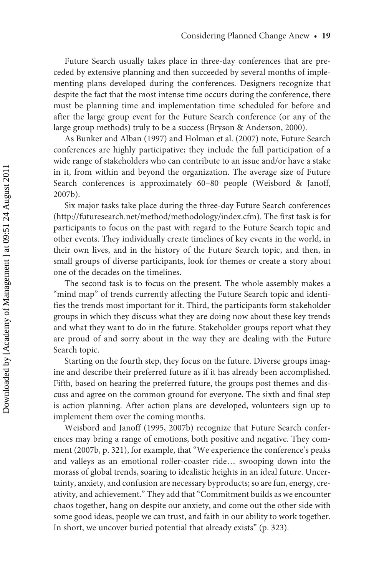Future Search usually takes place in three-day conferences that are preceded by extensive planning and then succeeded by several months of implementing plans developed during the conferences. Designers recognize that despite the fact that the most intense time occurs during the conference, there must be planning time and implementation time scheduled for before and after the large group event for the Future Search conference (or any of the large group methods) truly to be a success (Bryson & Anderson, 2000).

As Bunker and Alban (1997) and Holman et al. (2007) note, Future Search conferences are highly participative; they include the full participation of a wide range of stakeholders who can contribute to an issue and/or have a stake in it, from within and beyond the organization. The average size of Future Search conferences is approximately 60–80 people (Weisbord & Janoff, 2007b).

Six major tasks take place during the three-day Future Search conferences (http://futuresearch.net/method/methodology/index.cfm). The first task is for participants to focus on the past with regard to the Future Search topic and other events. They individually create timelines of key events in the world, in their own lives, and in the history of the Future Search topic, and then, in small groups of diverse participants, look for themes or create a story about one of the decades on the timelines.

The second task is to focus on the present. The whole assembly makes a "mind map" of trends currently affecting the Future Search topic and identifies the trends most important for it. Third, the participants form stakeholder groups in which they discuss what they are doing now about these key trends and what they want to do in the future. Stakeholder groups report what they are proud of and sorry about in the way they are dealing with the Future Search topic.

Starting on the fourth step, they focus on the future. Diverse groups imagine and describe their preferred future as if it has already been accomplished. Fifth, based on hearing the preferred future, the groups post themes and discuss and agree on the common ground for everyone. The sixth and final step is action planning. After action plans are developed, volunteers sign up to implement them over the coming months.

Weisbord and Janoff (1995, 2007b) recognize that Future Search conferences may bring a range of emotions, both positive and negative. They comment (2007b, p. 321), for example, that "We experience the conference's peaks and valleys as an emotional roller-coaster ride… swooping down into the morass of global trends, soaring to idealistic heights in an ideal future. Uncertainty, anxiety, and confusion are necessary byproducts; so are fun, energy, creativity, and achievement." They add that "Commitment builds as we encounter chaos together, hang on despite our anxiety, and come out the other side with some good ideas, people we can trust, and faith in our ability to work together. In short, we uncover buried potential that already exists" (p. 323).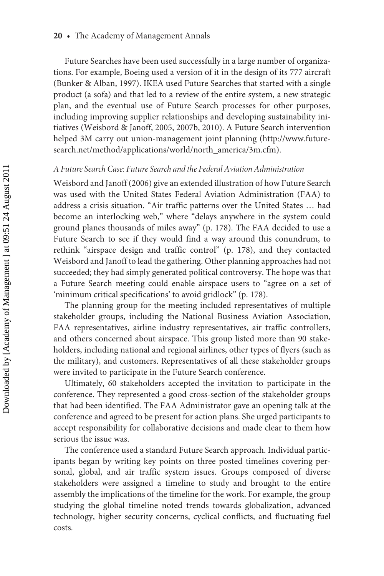Future Searches have been used successfully in a large number of organizations. For example, Boeing used a version of it in the design of its 777 aircraft (Bunker & Alban, 1997). IKEA used Future Searches that started with a single product (a sofa) and that led to a review of the entire system, a new strategic plan, and the eventual use of Future Search processes for other purposes, including improving supplier relationships and developing sustainability initiatives (Weisbord & Janoff, 2005, 2007b, 2010). A Future Search intervention helped 3M carry out union-management joint planning (http://www.futuresearch.net/method/applications/world/north\_america/3m.cfm).

## *A Future Search Case: Future Search and the Federal Aviation Administration*

Weisbord and Janoff (2006) give an extended illustration of how Future Search was used with the United States Federal Aviation Administration (FAA) to address a crisis situation. "Air traffic patterns over the United States … had become an interlocking web," where "delays anywhere in the system could ground planes thousands of miles away" (p. 178). The FAA decided to use a Future Search to see if they would find a way around this conundrum, to rethink "airspace design and traffic control" (p. 178), and they contacted Weisbord and Janoff to lead the gathering. Other planning approaches had not succeeded; they had simply generated political controversy. The hope was that a Future Search meeting could enable airspace users to "agree on a set of 'minimum critical specifications' to avoid gridlock" (p. 178).

The planning group for the meeting included representatives of multiple stakeholder groups, including the National Business Aviation Association, FAA representatives, airline industry representatives, air traffic controllers, and others concerned about airspace. This group listed more than 90 stakeholders, including national and regional airlines, other types of flyers (such as the military), and customers. Representatives of all these stakeholder groups were invited to participate in the Future Search conference.

Ultimately, 60 stakeholders accepted the invitation to participate in the conference. They represented a good cross-section of the stakeholder groups that had been identified. The FAA Administrator gave an opening talk at the conference and agreed to be present for action plans. She urged participants to accept responsibility for collaborative decisions and made clear to them how serious the issue was.

The conference used a standard Future Search approach. Individual participants began by writing key points on three posted timelines covering personal, global, and air traffic system issues. Groups composed of diverse stakeholders were assigned a timeline to study and brought to the entire assembly the implications of the timeline for the work. For example, the group studying the global timeline noted trends towards globalization, advanced technology, higher security concerns, cyclical conflicts, and fluctuating fuel costs.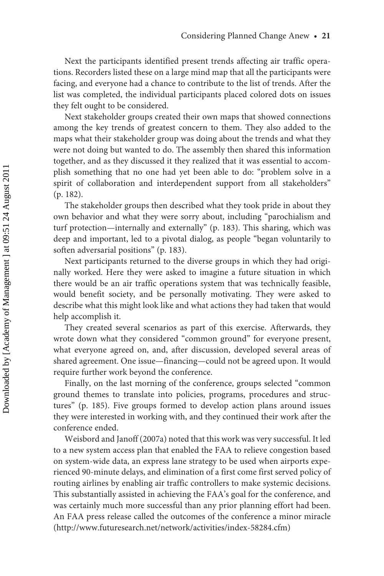Next the participants identified present trends affecting air traffic operations. Recorders listed these on a large mind map that all the participants were facing, and everyone had a chance to contribute to the list of trends. After the list was completed, the individual participants placed colored dots on issues they felt ought to be considered.

Next stakeholder groups created their own maps that showed connections among the key trends of greatest concern to them. They also added to the maps what their stakeholder group was doing about the trends and what they were not doing but wanted to do. The assembly then shared this information together, and as they discussed it they realized that it was essential to accomplish something that no one had yet been able to do: "problem solve in a spirit of collaboration and interdependent support from all stakeholders" (p. 182).

The stakeholder groups then described what they took pride in about they own behavior and what they were sorry about, including "parochialism and turf protection—internally and externally" (p. 183). This sharing, which was deep and important, led to a pivotal dialog, as people "began voluntarily to soften adversarial positions" (p. 183).

Next participants returned to the diverse groups in which they had originally worked. Here they were asked to imagine a future situation in which there would be an air traffic operations system that was technically feasible, would benefit society, and be personally motivating. They were asked to describe what this might look like and what actions they had taken that would help accomplish it.

They created several scenarios as part of this exercise. Afterwards, they wrote down what they considered "common ground" for everyone present, what everyone agreed on, and, after discussion, developed several areas of shared agreement. One issue—financing—could not be agreed upon. It would require further work beyond the conference.

Finally, on the last morning of the conference, groups selected "common ground themes to translate into policies, programs, procedures and structures" (p. 185). Five groups formed to develop action plans around issues they were interested in working with, and they continued their work after the conference ended.

Weisbord and Janoff (2007a) noted that this work was very successful. It led to a new system access plan that enabled the FAA to relieve congestion based on system-wide data, an express lane strategy to be used when airports experienced 90-minute delays, and elimination of a first come first served policy of routing airlines by enabling air traffic controllers to make systemic decisions. This substantially assisted in achieving the FAA's goal for the conference, and was certainly much more successful than any prior planning effort had been. An FAA press release called the outcomes of the conference a minor miracle (http://www.futuresearch.net/network/activities/index-58284.cfm)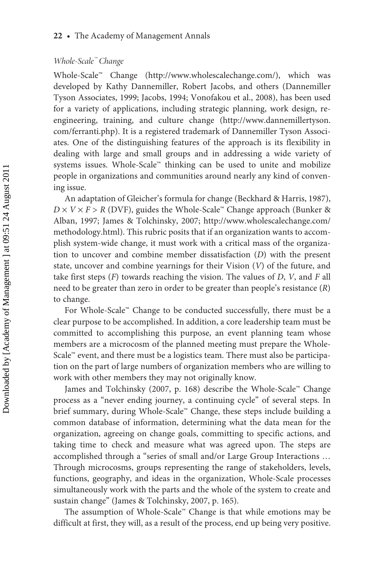## *Whole-Scale™ Change*

Whole-Scale™ Change (http://www.wholescalechange.com/), which was developed by Kathy Dannemiller, Robert Jacobs, and others (Dannemiller Tyson Associates, 1999; Jacobs, 1994; Vonofakou et al., 2008), has been used for a variety of applications, including strategic planning, work design, reengineering, training, and culture change (http://www.dannemillertyson. com/ferranti.php). It is a registered trademark of Dannemiller Tyson Associates. One of the distinguishing features of the approach is its flexibility in dealing with large and small groups and in addressing a wide variety of systems issues. Whole-Scale™ thinking can be used to unite and mobilize people in organizations and communities around nearly any kind of convening issue.

An adaptation of Gleicher's formula for change (Beckhard & Harris, 1987),  $D \times V \times F > R$  (DVF), guides the Whole-Scale<sup>™</sup> Change approach (Bunker & Alban, 1997; James & Tolchinsky, 2007; http://www.wholescalechange.com/ methodology.html). This rubric posits that if an organization wants to accomplish system-wide change, it must work with a critical mass of the organization to uncover and combine member dissatisfaction (*D*) with the present state, uncover and combine yearnings for their Vision (*V*) of the future, and take first steps (*F*) towards reaching the vision. The values of *D*, *V*, and *F* all need to be greater than zero in order to be greater than people's resistance (*R*) to change.

For Whole-Scale™ Change to be conducted successfully, there must be a clear purpose to be accomplished. In addition, a core leadership team must be committed to accomplishing this purpose, an event planning team whose members are a microcosm of the planned meeting must prepare the Whole-Scale™ event, and there must be a logistics team. There must also be participation on the part of large numbers of organization members who are willing to work with other members they may not originally know.

James and Tolchinsky (2007, p. 168) describe the Whole-Scale™ Change process as a "never ending journey, a continuing cycle" of several steps. In brief summary, during Whole-Scale™ Change, these steps include building a common database of information, determining what the data mean for the organization, agreeing on change goals, committing to specific actions, and taking time to check and measure what was agreed upon. The steps are accomplished through a "series of small and/or Large Group Interactions … Through microcosms, groups representing the range of stakeholders, levels, functions, geography, and ideas in the organization, Whole-Scale processes simultaneously work with the parts and the whole of the system to create and sustain change" (James & Tolchinsky, 2007, p. 165).

The assumption of Whole-Scale™ Change is that while emotions may be difficult at first, they will, as a result of the process, end up being very positive.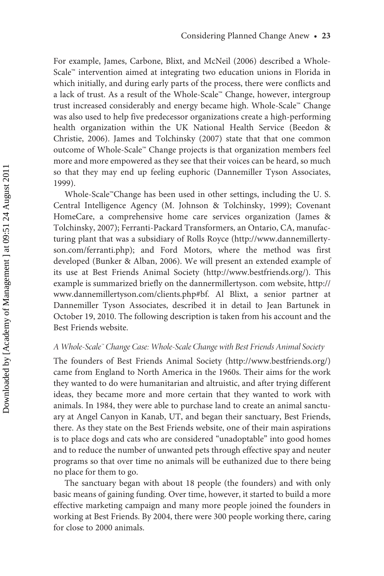For example, James, Carbone, Blixt, and McNeil (2006) described a Whole-Scale™ intervention aimed at integrating two education unions in Florida in which initially, and during early parts of the process, there were conflicts and a lack of trust. As a result of the Whole-Scale™ Change, however, intergroup trust increased considerably and energy became high. Whole-Scale™ Change was also used to help five predecessor organizations create a high-performing health organization within the UK National Health Service (Beedon & Christie, 2006). James and Tolchinsky (2007) state that that one common outcome of Whole-Scale™ Change projects is that organization members feel more and more empowered as they see that their voices can be heard, so much so that they may end up feeling euphoric (Dannemiller Tyson Associates, 1999).

Whole-Scale™Change has been used in other settings, including the U. S. Central Intelligence Agency (M. Johnson & Tolchinsky, 1999); Covenant HomeCare, a comprehensive home care services organization (James & Tolchinsky, 2007); Ferranti-Packard Transformers, an Ontario, CA, manufacturing plant that was a subsidiary of Rolls Royce (http://www.dannemillertyson.com/ferranti.php); and Ford Motors, where the method was first developed (Bunker & Alban, 2006). We will present an extended example of its use at Best Friends Animal Society (http://www.bestfriends.org/). This example is summarized briefly on the dannermillertyson. com website, http:// www.dannemillertyson.com/clients.php#bf. Al Blixt, a senior partner at Dannemiller Tyson Associates, described it in detail to Jean Bartunek in October 19, 2010. The following description is taken from his account and the Best Friends website.

## *A Whole-Scale™ Change Case: Whole-Scale Change with Best Friends Animal Society*

The founders of Best Friends Animal Society (http://www.bestfriends.org/) came from England to North America in the 1960s. Their aims for the work they wanted to do were humanitarian and altruistic, and after trying different ideas, they became more and more certain that they wanted to work with animals. In 1984, they were able to purchase land to create an animal sanctuary at Angel Canyon in Kanab, UT, and began their sanctuary, Best Friends, there. As they state on the Best Friends website, one of their main aspirations is to place dogs and cats who are considered "unadoptable" into good homes and to reduce the number of unwanted pets through effective spay and neuter programs so that over time no animals will be euthanized due to there being no place for them to go.

The sanctuary began with about 18 people (the founders) and with only basic means of gaining funding. Over time, however, it started to build a more effective marketing campaign and many more people joined the founders in working at Best Friends. By 2004, there were 300 people working there, caring for close to 2000 animals.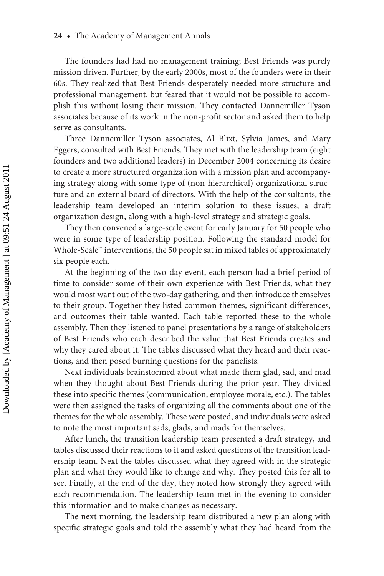The founders had had no management training; Best Friends was purely mission driven. Further, by the early 2000s, most of the founders were in their 60s. They realized that Best Friends desperately needed more structure and professional management, but feared that it would not be possible to accomplish this without losing their mission. They contacted Dannemiller Tyson associates because of its work in the non-profit sector and asked them to help serve as consultants.

Three Dannemiller Tyson associates, Al Blixt, Sylvia James, and Mary Eggers, consulted with Best Friends. They met with the leadership team (eight founders and two additional leaders) in December 2004 concerning its desire to create a more structured organization with a mission plan and accompanying strategy along with some type of (non-hierarchical) organizational structure and an external board of directors. With the help of the consultants, the leadership team developed an interim solution to these issues, a draft organization design, along with a high-level strategy and strategic goals.

They then convened a large-scale event for early January for 50 people who were in some type of leadership position. Following the standard model for Whole-Scale™ interventions, the 50 people sat in mixed tables of approximately six people each.

At the beginning of the two-day event, each person had a brief period of time to consider some of their own experience with Best Friends, what they would most want out of the two-day gathering, and then introduce themselves to their group. Together they listed common themes, significant differences, and outcomes their table wanted. Each table reported these to the whole assembly. Then they listened to panel presentations by a range of stakeholders of Best Friends who each described the value that Best Friends creates and why they cared about it. The tables discussed what they heard and their reactions, and then posed burning questions for the panelists.

Next individuals brainstormed about what made them glad, sad, and mad when they thought about Best Friends during the prior year. They divided these into specific themes (communication, employee morale, etc.). The tables were then assigned the tasks of organizing all the comments about one of the themes for the whole assembly. These were posted, and individuals were asked to note the most important sads, glads, and mads for themselves.

After lunch, the transition leadership team presented a draft strategy, and tables discussed their reactions to it and asked questions of the transition leadership team. Next the tables discussed what they agreed with in the strategic plan and what they would like to change and why. They posted this for all to see. Finally, at the end of the day, they noted how strongly they agreed with each recommendation. The leadership team met in the evening to consider this information and to make changes as necessary.

The next morning, the leadership team distributed a new plan along with specific strategic goals and told the assembly what they had heard from the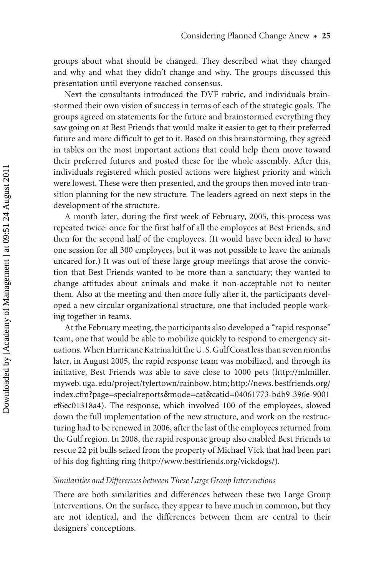groups about what should be changed. They described what they changed and why and what they didn't change and why. The groups discussed this presentation until everyone reached consensus.

Next the consultants introduced the DVF rubric, and individuals brainstormed their own vision of success in terms of each of the strategic goals. The groups agreed on statements for the future and brainstormed everything they saw going on at Best Friends that would make it easier to get to their preferred future and more difficult to get to it. Based on this brainstorming, they agreed in tables on the most important actions that could help them move toward their preferred futures and posted these for the whole assembly. After this, individuals registered which posted actions were highest priority and which were lowest. These were then presented, and the groups then moved into transition planning for the new structure. The leaders agreed on next steps in the development of the structure.

A month later, during the first week of February, 2005, this process was repeated twice: once for the first half of all the employees at Best Friends, and then for the second half of the employees. (It would have been ideal to have one session for all 300 employees, but it was not possible to leave the animals uncared for.) It was out of these large group meetings that arose the conviction that Best Friends wanted to be more than a sanctuary; they wanted to change attitudes about animals and make it non-acceptable not to neuter them. Also at the meeting and then more fully after it, the participants developed a new circular organizational structure, one that included people working together in teams.

At the February meeting, the participants also developed a "rapid response" team, one that would be able to mobilize quickly to respond to emergency situations. When Hurricane Katrina hit the U. S. Gulf Coast less than seven months later, in August 2005, the rapid response team was mobilized, and through its initiative, Best Friends was able to save close to 1000 pets (http://mlmiller. myweb. uga. edu/project/tylertown/rainbow. htm; http://news. bestfriends.org/ index.cfm?page=specialreports&mode=cat&catid=04061773-bdb9-396e-9001 ef6ec01318a4). The response, which involved 100 of the employees, slowed down the full implementation of the new structure, and work on the restructuring had to be renewed in 2006, after the last of the employees returned from the Gulf region. In 2008, the rapid response group also enabled Best Friends to rescue 22 pit bulls seized from the property of Michael Vick that had been part of his dog fighting ring (http://www.bestfriends.org/vickdogs/).

## *Similarities and Differences between These Large Group Interventions*

There are both similarities and differences between these two Large Group Interventions. On the surface, they appear to have much in common, but they are not identical, and the differences between them are central to their designers' conceptions.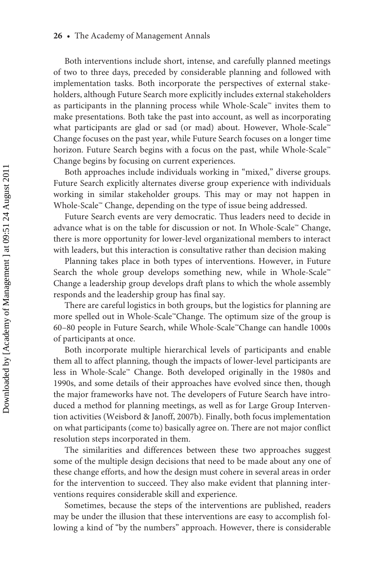Both interventions include short, intense, and carefully planned meetings of two to three days, preceded by considerable planning and followed with implementation tasks. Both incorporate the perspectives of external stakeholders, although Future Search more explicitly includes external stakeholders as participants in the planning process while Whole-Scale™ invites them to make presentations. Both take the past into account, as well as incorporating what participants are glad or sad (or mad) about. However, Whole-Scale™ Change focuses on the past year, while Future Search focuses on a longer time horizon. Future Search begins with a focus on the past, while Whole-Scale™ Change begins by focusing on current experiences.

Both approaches include individuals working in "mixed," diverse groups. Future Search explicitly alternates diverse group experience with individuals working in similar stakeholder groups. This may or may not happen in Whole-Scale™ Change, depending on the type of issue being addressed.

Future Search events are very democratic. Thus leaders need to decide in advance what is on the table for discussion or not. In Whole-Scale™ Change, there is more opportunity for lower-level organizational members to interact with leaders, but this interaction is consultative rather than decision making

Planning takes place in both types of interventions. However, in Future Search the whole group develops something new, while in Whole-Scale™ Change a leadership group develops draft plans to which the whole assembly responds and the leadership group has final say.

There are careful logistics in both groups, but the logistics for planning are more spelled out in Whole-Scale™Change. The optimum size of the group is 60–80 people in Future Search, while Whole-Scale™Change can handle 1000s of participants at once.

Both incorporate multiple hierarchical levels of participants and enable them all to affect planning, though the impacts of lower-level participants are less in Whole-Scale™ Change. Both developed originally in the 1980s and 1990s, and some details of their approaches have evolved since then, though the major frameworks have not. The developers of Future Search have introduced a method for planning meetings, as well as for Large Group Intervention activities (Weisbord & Janoff, 2007b). Finally, both focus implementation on what participants (come to) basically agree on. There are not major conflict resolution steps incorporated in them.

The similarities and differences between these two approaches suggest some of the multiple design decisions that need to be made about any one of these change efforts, and how the design must cohere in several areas in order for the intervention to succeed. They also make evident that planning interventions requires considerable skill and experience.

Sometimes, because the steps of the interventions are published, readers may be under the illusion that these interventions are easy to accomplish following a kind of "by the numbers" approach. However, there is considerable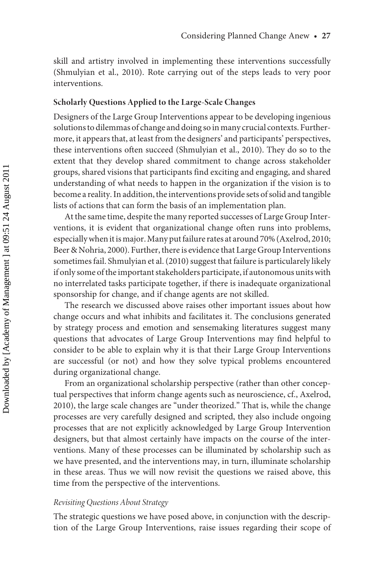skill and artistry involved in implementing these interventions successfully (Shmulyian et al., 2010). Rote carrying out of the steps leads to very poor interventions.

#### **Scholarly Questions Applied to the Large-Scale Changes**

Designers of the Large Group Interventions appear to be developing ingenious solutions to dilemmas of change and doing so in many crucial contexts. Furthermore, it appears that, at least from the designers' and participants' perspectives, these interventions often succeed (Shmulyian et al., 2010). They do so to the extent that they develop shared commitment to change across stakeholder groups, shared visions that participants find exciting and engaging, and shared understanding of what needs to happen in the organization if the vision is to become a reality. In addition, the interventions provide sets of solid and tangible lists of actions that can form the basis of an implementation plan.

At the same time, despite the many reported successes of Large Group Interventions, it is evident that organizational change often runs into problems, especially when it is major. Many put failure rates at around 70% (Axelrod, 2010; Beer & Nohria, 2000). Further, there is evidence that Large Group Interventions sometimes fail. Shmulyian et al. (2010) suggest that failure is particularely likely if only some of the important stakeholders participate, if autonomous units with no interrelated tasks participate together, if there is inadequate organizational sponsorship for change, and if change agents are not skilled.

The research we discussed above raises other important issues about how change occurs and what inhibits and facilitates it. The conclusions generated by strategy process and emotion and sensemaking literatures suggest many questions that advocates of Large Group Interventions may find helpful to consider to be able to explain why it is that their Large Group Interventions are successful (or not) and how they solve typical problems encountered during organizational change.

From an organizational scholarship perspective (rather than other conceptual perspectives that inform change agents such as neuroscience, cf., Axelrod, 2010), the large scale changes are "under theorized." That is, while the change processes are very carefully designed and scripted, they also include ongoing processes that are not explicitly acknowledged by Large Group Intervention designers, but that almost certainly have impacts on the course of the interventions. Many of these processes can be illuminated by scholarship such as we have presented, and the interventions may, in turn, illuminate scholarship in these areas. Thus we will now revisit the questions we raised above, this time from the perspective of the interventions.

#### *Revisiting Questions About Strategy*

The strategic questions we have posed above, in conjunction with the description of the Large Group Interventions, raise issues regarding their scope of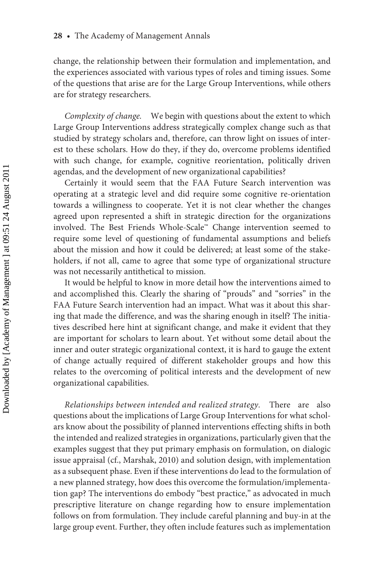change, the relationship between their formulation and implementation, and the experiences associated with various types of roles and timing issues. Some of the questions that arise are for the Large Group Interventions, while others are for strategy researchers.

*Complexity of change.* We begin with questions about the extent to which Large Group Interventions address strategically complex change such as that studied by strategy scholars and, therefore, can throw light on issues of interest to these scholars. How do they, if they do, overcome problems identified with such change, for example, cognitive reorientation, politically driven agendas, and the development of new organizational capabilities?

Certainly it would seem that the FAA Future Search intervention was operating at a strategic level and did require some cognitive re-orientation towards a willingness to cooperate. Yet it is not clear whether the changes agreed upon represented a shift in strategic direction for the organizations involved. The Best Friends Whole-Scale™ Change intervention seemed to require some level of questioning of fundamental assumptions and beliefs about the mission and how it could be delivered; at least some of the stakeholders, if not all, came to agree that some type of organizational structure was not necessarily antithetical to mission.

It would be helpful to know in more detail how the interventions aimed to and accomplished this. Clearly the sharing of "prouds" and "sorries" in the FAA Future Search intervention had an impact. What was it about this sharing that made the difference, and was the sharing enough in itself? The initiatives described here hint at significant change, and make it evident that they are important for scholars to learn about. Yet without some detail about the inner and outer strategic organizational context, it is hard to gauge the extent of change actually required of different stakeholder groups and how this relates to the overcoming of political interests and the development of new organizational capabilities.

*Relationships between intended and realized strategy.* There are also questions about the implications of Large Group Interventions for what scholars know about the possibility of planned interventions effecting shifts in both the intended and realized strategies in organizations, particularly given that the examples suggest that they put primary emphasis on formulation, on dialogic issue appraisal (cf., Marshak, 2010) and solution design, with implementation as a subsequent phase. Even if these interventions do lead to the formulation of a new planned strategy, how does this overcome the formulation/implementation gap? The interventions do embody "best practice," as advocated in much prescriptive literature on change regarding how to ensure implementation follows on from formulation. They include careful planning and buy-in at the large group event. Further, they often include features such as implementation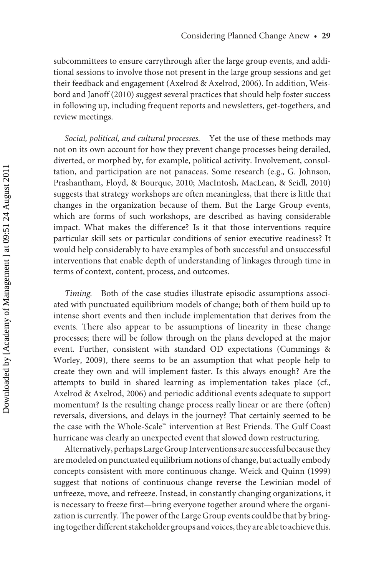subcommittees to ensure carrythrough after the large group events, and additional sessions to involve those not present in the large group sessions and get their feedback and engagement (Axelrod & Axelrod, 2006). In addition, Weisbord and Janoff (2010) suggest several practices that should help foster success in following up, including frequent reports and newsletters, get-togethers, and review meetings.

*Social, political, and cultural processes.* Yet the use of these methods may not on its own account for how they prevent change processes being derailed, diverted, or morphed by, for example, political activity. Involvement, consultation, and participation are not panaceas. Some research (e.g., G. Johnson, Prashantham, Floyd, & Bourque, 2010; MacIntosh, MacLean, & Seidl, 2010) suggests that strategy workshops are often meaningless, that there is little that changes in the organization because of them. But the Large Group events, which are forms of such workshops, are described as having considerable impact. What makes the difference? Is it that those interventions require particular skill sets or particular conditions of senior executive readiness? It would help considerably to have examples of both successful and unsuccessful interventions that enable depth of understanding of linkages through time in terms of context, content, process, and outcomes.

*Timing.* Both of the case studies illustrate episodic assumptions associated with punctuated equilibrium models of change; both of them build up to intense short events and then include implementation that derives from the events. There also appear to be assumptions of linearity in these change processes; there will be follow through on the plans developed at the major event. Further, consistent with standard OD expectations (Cummings & Worley, 2009), there seems to be an assumption that what people help to create they own and will implement faster. Is this always enough? Are the attempts to build in shared learning as implementation takes place (cf., Axelrod & Axelrod, 2006) and periodic additional events adequate to support momentum? Is the resulting change process really linear or are there (often) reversals, diversions, and delays in the journey? That certainly seemed to be the case with the Whole-Scale™ intervention at Best Friends. The Gulf Coast hurricane was clearly an unexpected event that slowed down restructuring.

Alternatively, perhaps Large Group Interventions are successful because they are modeled on punctuated equilibrium notions of change, but actually embody concepts consistent with more continuous change. Weick and Quinn (1999) suggest that notions of continuous change reverse the Lewinian model of unfreeze, move, and refreeze. Instead, in constantly changing organizations, it is necessary to freeze first—bring everyone together around where the organization is currently. The power of the Large Group events could be that by bringing together different stakeholder groups and voices, they are able to achieve this.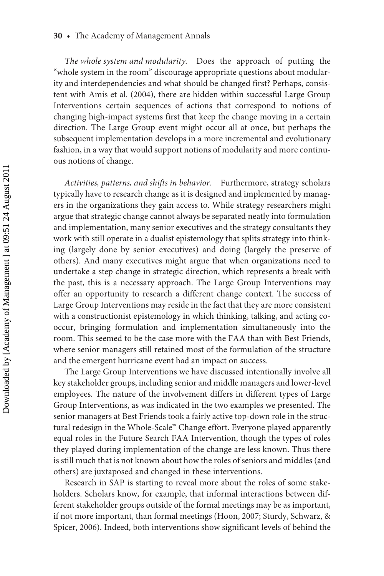*The whole system and modularity.* Does the approach of putting the "whole system in the room" discourage appropriate questions about modularity and interdependencies and what should be changed first? Perhaps, consistent with Amis et al. (2004), there are hidden within successful Large Group Interventions certain sequences of actions that correspond to notions of changing high-impact systems first that keep the change moving in a certain direction. The Large Group event might occur all at once, but perhaps the subsequent implementation develops in a more incremental and evolutionary fashion, in a way that would support notions of modularity and more continuous notions of change.

*Activities, patterns, and shifts in behavior.* Furthermore, strategy scholars typically have to research change as it is designed and implemented by managers in the organizations they gain access to. While strategy researchers might argue that strategic change cannot always be separated neatly into formulation and implementation, many senior executives and the strategy consultants they work with still operate in a dualist epistemology that splits strategy into thinking (largely done by senior executives) and doing (largely the preserve of others). And many executives might argue that when organizations need to undertake a step change in strategic direction, which represents a break with the past, this is a necessary approach. The Large Group Interventions may offer an opportunity to research a different change context. The success of Large Group Interventions may reside in the fact that they are more consistent with a constructionist epistemology in which thinking, talking, and acting cooccur, bringing formulation and implementation simultaneously into the room. This seemed to be the case more with the FAA than with Best Friends, where senior managers still retained most of the formulation of the structure and the emergent hurricane event had an impact on success.

The Large Group Interventions we have discussed intentionally involve all key stakeholder groups, including senior and middle managers and lower-level employees. The nature of the involvement differs in different types of Large Group Interventions, as was indicated in the two examples we presented. The senior managers at Best Friends took a fairly active top-down role in the structural redesign in the Whole-Scale™ Change effort. Everyone played apparently equal roles in the Future Search FAA Intervention, though the types of roles they played during implementation of the change are less known. Thus there is still much that is not known about how the roles of seniors and middles (and others) are juxtaposed and changed in these interventions.

Research in SAP is starting to reveal more about the roles of some stakeholders. Scholars know, for example, that informal interactions between different stakeholder groups outside of the formal meetings may be as important, if not more important, than formal meetings (Hoon, 2007; Sturdy, Schwarz, & Spicer, 2006). Indeed, both interventions show significant levels of behind the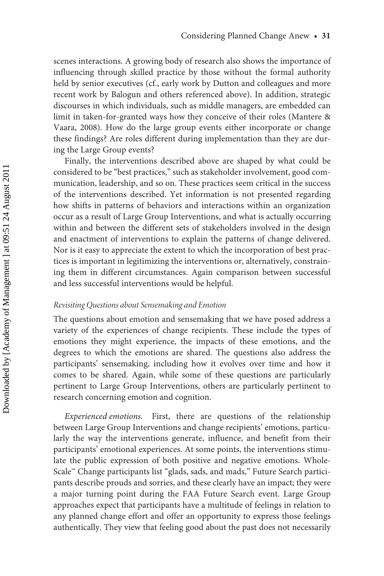scenes interactions. A growing body of research also shows the importance of influencing through skilled practice by those without the formal authority held by senior executives (cf., early work by Dutton and colleagues and more recent work by Balogun and others referenced above). In addition, strategic discourses in which individuals, such as middle managers, are embedded can limit in taken-for-granted ways how they conceive of their roles (Mantere & Vaara, 2008). How do the large group events either incorporate or change these findings? Are roles different during implementation than they are during the Large Group events?

Finally, the interventions described above are shaped by what could be considered to be "best practices," such as stakeholder involvement, good communication, leadership, and so on. These practices seem critical in the success of the interventions described. Yet information is not presented regarding how shifts in patterns of behaviors and interactions within an organization occur as a result of Large Group Interventions, and what is actually occurring within and between the different sets of stakeholders involved in the design and enactment of interventions to explain the patterns of change delivered. Nor is it easy to appreciate the extent to which the incorporation of best practices is important in legitimizing the interventions or, alternatively, constraining them in different circumstances. Again comparison between successful and less successful interventions would be helpful.

## *Revisiting Questions about Sensemaking and Emotion*

The questions about emotion and sensemaking that we have posed address a variety of the experiences of change recipients. These include the types of emotions they might experience, the impacts of these emotions, and the degrees to which the emotions are shared. The questions also address the participants' sensemaking, including how it evolves over time and how it comes to be shared. Again, while some of these questions are particularly pertinent to Large Group Interventions, others are particularly pertinent to research concerning emotion and cognition.

*Experienced emotions.* First, there are questions of the relationship between Large Group Interventions and change recipients' emotions, particularly the way the interventions generate, influence, and benefit from their participants' emotional experiences. At some points, the interventions stimulate the public expression of both positive and negative emotions. Whole-Scale™ Change participants list "glads, sads, and mads," Future Search participants describe prouds and sorries, and these clearly have an impact; they were a major turning point during the FAA Future Search event. Large Group approaches expect that participants have a multitude of feelings in relation to any planned change effort and offer an opportunity to express those feelings authentically. They view that feeling good about the past does not necessarily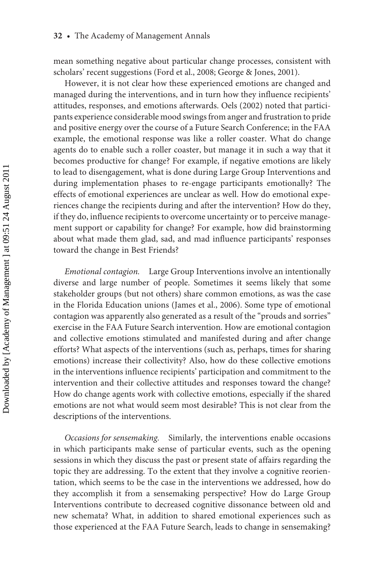mean something negative about particular change processes, consistent with scholars' recent suggestions (Ford et al., 2008; George & Jones, 2001).

However, it is not clear how these experienced emotions are changed and managed during the interventions, and in turn how they influence recipients' attitudes, responses, and emotions afterwards. Oels (2002) noted that participants experience considerable mood swings from anger and frustration to pride and positive energy over the course of a Future Search Conference; in the FAA example, the emotional response was like a roller coaster. What do change agents do to enable such a roller coaster, but manage it in such a way that it becomes productive for change? For example, if negative emotions are likely to lead to disengagement, what is done during Large Group Interventions and during implementation phases to re-engage participants emotionally? The effects of emotional experiences are unclear as well. How do emotional experiences change the recipients during and after the intervention? How do they, if they do, influence recipients to overcome uncertainty or to perceive management support or capability for change? For example, how did brainstorming about what made them glad, sad, and mad influence participants' responses toward the change in Best Friends?

*Emotional contagion.* Large Group Interventions involve an intentionally diverse and large number of people. Sometimes it seems likely that some stakeholder groups (but not others) share common emotions, as was the case in the Florida Education unions (James et al., 2006). Some type of emotional contagion was apparently also generated as a result of the "prouds and sorries" exercise in the FAA Future Search intervention. How are emotional contagion and collective emotions stimulated and manifested during and after change efforts? What aspects of the interventions (such as, perhaps, times for sharing emotions) increase their collectivity? Also, how do these collective emotions in the interventions influence recipients' participation and commitment to the intervention and their collective attitudes and responses toward the change? How do change agents work with collective emotions, especially if the shared emotions are not what would seem most desirable? This is not clear from the descriptions of the interventions.

*Occasions for sensemaking.* Similarly, the interventions enable occasions in which participants make sense of particular events, such as the opening sessions in which they discuss the past or present state of affairs regarding the topic they are addressing. To the extent that they involve a cognitive reorientation, which seems to be the case in the interventions we addressed, how do they accomplish it from a sensemaking perspective? How do Large Group Interventions contribute to decreased cognitive dissonance between old and new schemata? What, in addition to shared emotional experiences such as those experienced at the FAA Future Search, leads to change in sensemaking?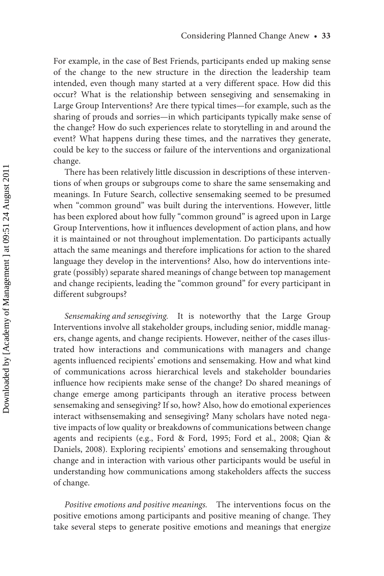For example, in the case of Best Friends, participants ended up making sense of the change to the new structure in the direction the leadership team intended, even though many started at a very different space. How did this occur? What is the relationship between sensegiving and sensemaking in Large Group Interventions? Are there typical times—for example, such as the sharing of prouds and sorries—in which participants typically make sense of the change? How do such experiences relate to storytelling in and around the event? What happens during these times, and the narratives they generate, could be key to the success or failure of the interventions and organizational change.

There has been relatively little discussion in descriptions of these interventions of when groups or subgroups come to share the same sensemaking and meanings. In Future Search, collective sensemaking seemed to be presumed when "common ground" was built during the interventions. However, little has been explored about how fully "common ground" is agreed upon in Large Group Interventions, how it influences development of action plans, and how it is maintained or not throughout implementation. Do participants actually attach the same meanings and therefore implications for action to the shared language they develop in the interventions? Also, how do interventions integrate (possibly) separate shared meanings of change between top management and change recipients, leading the "common ground" for every participant in different subgroups?

*Sensemaking and sensegiving.* It is noteworthy that the Large Group Interventions involve all stakeholder groups, including senior, middle managers, change agents, and change recipients. However, neither of the cases illustrated how interactions and communications with managers and change agents influenced recipients' emotions and sensemaking. How and what kind of communications across hierarchical levels and stakeholder boundaries influence how recipients make sense of the change? Do shared meanings of change emerge among participants through an iterative process between sensemaking and sensegiving? If so, how? Also, how do emotional experiences interact withsensemaking and sensegiving? Many scholars have noted negative impacts of low quality or breakdowns of communications between change agents and recipients (e.g., Ford & Ford, 1995; Ford et al., 2008; Qian & Daniels, 2008). Exploring recipients' emotions and sensemaking throughout change and in interaction with various other participants would be useful in understanding how communications among stakeholders affects the success of change.

*Positive emotions and positive meanings.* The interventions focus on the positive emotions among participants and positive meaning of change. They take several steps to generate positive emotions and meanings that energize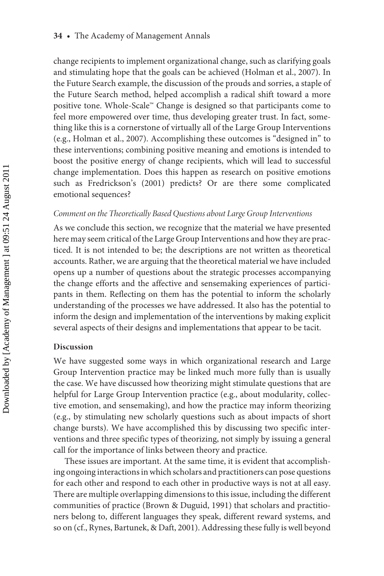change recipients to implement organizational change, such as clarifying goals and stimulating hope that the goals can be achieved (Holman et al., 2007). In the Future Search example, the discussion of the prouds and sorries, a staple of the Future Search method, helped accomplish a radical shift toward a more positive tone. Whole-Scale™ Change is designed so that participants come to feel more empowered over time, thus developing greater trust. In fact, something like this is a cornerstone of virtually all of the Large Group Interventions (e.g., Holman et al., 2007). Accomplishing these outcomes is "designed in" to these interventions; combining positive meaning and emotions is intended to boost the positive energy of change recipients, which will lead to successful change implementation. Does this happen as research on positive emotions such as Fredrickson's (2001) predicts? Or are there some complicated emotional sequences?

## *Comment on the Theoretically Based Questions about Large Group Interventions*

As we conclude this section, we recognize that the material we have presented here may seem critical of the Large Group Interventions and how they are practiced. It is not intended to be; the descriptions are not written as theoretical accounts. Rather, we are arguing that the theoretical material we have included opens up a number of questions about the strategic processes accompanying the change efforts and the affective and sensemaking experiences of participants in them. Reflecting on them has the potential to inform the scholarly understanding of the processes we have addressed. It also has the potential to inform the design and implementation of the interventions by making explicit several aspects of their designs and implementations that appear to be tacit.

## **Discussion**

We have suggested some ways in which organizational research and Large Group Intervention practice may be linked much more fully than is usually the case. We have discussed how theorizing might stimulate questions that are helpful for Large Group Intervention practice (e.g., about modularity, collective emotion, and sensemaking), and how the practice may inform theorizing (e.g., by stimulating new scholarly questions such as about impacts of short change bursts). We have accomplished this by discussing two specific interventions and three specific types of theorizing, not simply by issuing a general call for the importance of links between theory and practice.

These issues are important. At the same time, it is evident that accomplishing ongoing interactions in which scholars and practitioners can pose questions for each other and respond to each other in productive ways is not at all easy. There are multiple overlapping dimensions to this issue, including the different communities of practice (Brown & Duguid, 1991) that scholars and practitioners belong to, different languages they speak, different reward systems, and so on (cf., Rynes, Bartunek, & Daft, 2001). Addressing these fully is well beyond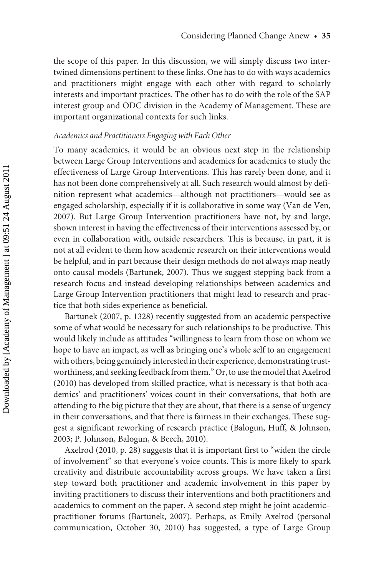the scope of this paper. In this discussion, we will simply discuss two intertwined dimensions pertinent to these links. One has to do with ways academics and practitioners might engage with each other with regard to scholarly interests and important practices. The other has to do with the role of the SAP interest group and ODC division in the Academy of Management. These are important organizational contexts for such links.

## *Academics and Practitioners Engaging with Each Other*

To many academics, it would be an obvious next step in the relationship between Large Group Interventions and academics for academics to study the effectiveness of Large Group Interventions. This has rarely been done, and it has not been done comprehensively at all. Such research would almost by definition represent what academics—although not practitioners—would see as engaged scholarship, especially if it is collaborative in some way (Van de Ven, 2007). But Large Group Intervention practitioners have not, by and large, shown interest in having the effectiveness of their interventions assessed by, or even in collaboration with, outside researchers. This is because, in part, it is not at all evident to them how academic research on their interventions would be helpful, and in part because their design methods do not always map neatly onto causal models (Bartunek, 2007). Thus we suggest stepping back from a research focus and instead developing relationships between academics and Large Group Intervention practitioners that might lead to research and practice that both sides experience as beneficial.

Bartunek (2007, p. 1328) recently suggested from an academic perspective some of what would be necessary for such relationships to be productive. This would likely include as attitudes "willingness to learn from those on whom we hope to have an impact, as well as bringing one's whole self to an engagement with others, being genuinely interested in their experience, demonstrating trustworthiness, and seeking feedback from them." Or, to use the model that Axelrod (2010) has developed from skilled practice, what is necessary is that both academics' and practitioners' voices count in their conversations, that both are attending to the big picture that they are about, that there is a sense of urgency in their conversations, and that there is fairness in their exchanges. These suggest a significant reworking of research practice (Balogun, Huff, & Johnson, 2003; P. Johnson, Balogun, & Beech, 2010).

Axelrod (2010, p. 28) suggests that it is important first to "widen the circle of involvement" so that everyone's voice counts. This is more likely to spark creativity and distribute accountability across groups. We have taken a first step toward both practitioner and academic involvement in this paper by inviting practitioners to discuss their interventions and both practitioners and academics to comment on the paper. A second step might be joint academic– practitioner forums (Bartunek, 2007). Perhaps, as Emily Axelrod (personal communication, October 30, 2010) has suggested, a type of Large Group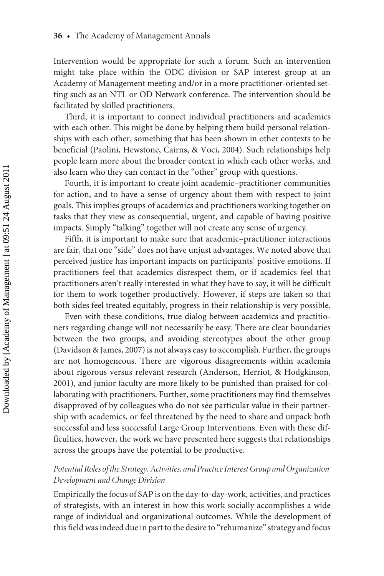Intervention would be appropriate for such a forum. Such an intervention might take place within the ODC division or SAP interest group at an Academy of Management meeting and/or in a more practitioner-oriented setting such as an NTL or OD Network conference. The intervention should be facilitated by skilled practitioners.

Third, it is important to connect individual practitioners and academics with each other. This might be done by helping them build personal relationships with each other, something that has been shown in other contexts to be beneficial (Paolini, Hewstone, Cairns, & Voci, 2004). Such relationships help people learn more about the broader context in which each other works, and also learn who they can contact in the "other" group with questions.

Fourth, it is important to create joint academic–practitioner communities for action, and to have a sense of urgency about them with respect to joint goals. This implies groups of academics and practitioners working together on tasks that they view as consequential, urgent, and capable of having positive impacts. Simply "talking" together will not create any sense of urgency.

Fifth, it is important to make sure that academic–practitioner interactions are fair, that one "side" does not have unjust advantages. We noted above that perceived justice has important impacts on participants' positive emotions. If practitioners feel that academics disrespect them, or if academics feel that practitioners aren't really interested in what they have to say, it will be difficult for them to work together productively. However, if steps are taken so that both sides feel treated equitably, progress in their relationship is very possible.

Even with these conditions, true dialog between academics and practitioners regarding change will not necessarily be easy. There are clear boundaries between the two groups, and avoiding stereotypes about the other group (Davidson & James, 2007) is not always easy to accomplish. Further, the groups are not homogeneous. There are vigorous disagreements within academia about rigorous versus relevant research (Anderson, Herriot, & Hodgkinson, 2001), and junior faculty are more likely to be punished than praised for collaborating with practitioners. Further, some practitioners may find themselves disapproved of by colleagues who do not see particular value in their partnership with academics, or feel threatened by the need to share and unpack both successful and less successful Large Group Interventions. Even with these difficulties, however, the work we have presented here suggests that relationships across the groups have the potential to be productive.

# *Potential Roles of the Strategy, Activities, and Practice Interest Group and Organization Development and Change Division*

Empirically the focus of SAP is on the day-to-day-work, activities, and practices of strategists, with an interest in how this work socially accomplishes a wide range of individual and organizational outcomes. While the development of this field was indeed due in part to the desire to "rehumanize" strategy and focus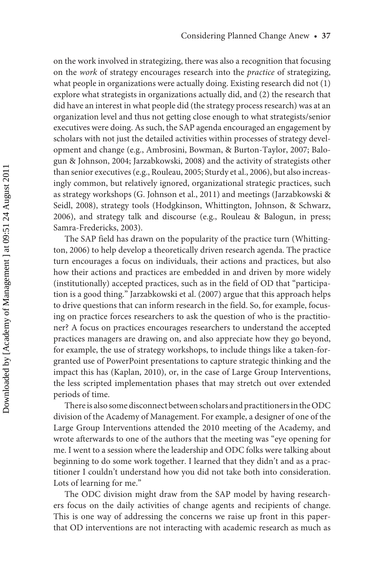on the work involved in strategizing, there was also a recognition that focusing on the *work* of strategy encourages research into the *practice* of strategizing, what people in organizations were actually doing. Existing research did not (1) explore what strategists in organizations actually did, and (2) the research that did have an interest in what people did (the strategy process research) was at an organization level and thus not getting close enough to what strategists/senior executives were doing. As such, the SAP agenda encouraged an engagement by scholars with not just the detailed activities within processes of strategy development and change (e.g., Ambrosini, Bowman, & Burton-Taylor, 2007; Balogun & Johnson, 2004; Jarzabkowski, 2008) and the activity of strategists other than senior executives (e.g., Rouleau, 2005; Sturdy et al., 2006), but also increasingly common, but relatively ignored, organizational strategic practices, such as strategy workshops (G. Johnson et al., 2011) and meetings (Jarzabkowski & Seidl, 2008), strategy tools (Hodgkinson, Whittington, Johnson, & Schwarz, 2006), and strategy talk and discourse (e.g., Rouleau & Balogun, in press; Samra-Fredericks, 2003).

The SAP field has drawn on the popularity of the practice turn (Whittington, 2006) to help develop a theoretically driven research agenda. The practice turn encourages a focus on individuals, their actions and practices, but also how their actions and practices are embedded in and driven by more widely (institutionally) accepted practices, such as in the field of OD that "participation is a good thing." Jarzabkowski et al. (2007) argue that this approach helps to drive questions that can inform research in the field. So, for example, focusing on practice forces researchers to ask the question of who is the practitioner? A focus on practices encourages researchers to understand the accepted practices managers are drawing on, and also appreciate how they go beyond, for example, the use of strategy workshops, to include things like a taken-forgranted use of PowerPoint presentations to capture strategic thinking and the impact this has (Kaplan, 2010), or, in the case of Large Group Interventions, the less scripted implementation phases that may stretch out over extended periods of time.

There is also some disconnect between scholars and practitioners in the ODC division of the Academy of Management. For example, a designer of one of the Large Group Interventions attended the 2010 meeting of the Academy, and wrote afterwards to one of the authors that the meeting was "eye opening for me. I went to a session where the leadership and ODC folks were talking about beginning to do some work together. I learned that they didn't and as a practitioner I couldn't understand how you did not take both into consideration. Lots of learning for me."

The ODC division might draw from the SAP model by having researchers focus on the daily activities of change agents and recipients of change. This is one way of addressing the concerns we raise up front in this paperthat OD interventions are not interacting with academic research as much as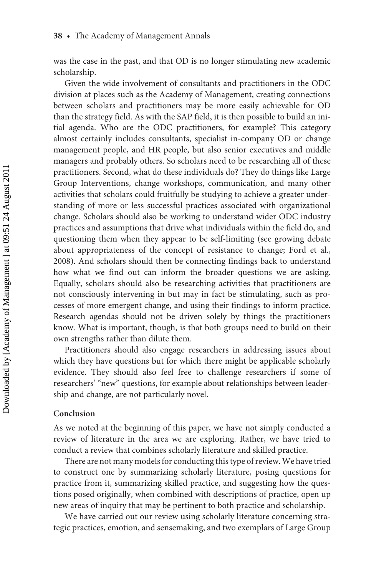was the case in the past, and that OD is no longer stimulating new academic scholarship.

Given the wide involvement of consultants and practitioners in the ODC division at places such as the Academy of Management, creating connections between scholars and practitioners may be more easily achievable for OD than the strategy field. As with the SAP field, it is then possible to build an initial agenda. Who are the ODC practitioners, for example? This category almost certainly includes consultants, specialist in-company OD or change management people, and HR people, but also senior executives and middle managers and probably others. So scholars need to be researching all of these practitioners. Second, what do these individuals do? They do things like Large Group Interventions, change workshops, communication, and many other activities that scholars could fruitfully be studying to achieve a greater understanding of more or less successful practices associated with organizational change. Scholars should also be working to understand wider ODC industry practices and assumptions that drive what individuals within the field do, and questioning them when they appear to be self-limiting (see growing debate about appropriateness of the concept of resistance to change; Ford et al., 2008). And scholars should then be connecting findings back to understand how what we find out can inform the broader questions we are asking. Equally, scholars should also be researching activities that practitioners are not consciously intervening in but may in fact be stimulating, such as processes of more emergent change, and using their findings to inform practice. Research agendas should not be driven solely by things the practitioners know. What is important, though, is that both groups need to build on their own strengths rather than dilute them.

Practitioners should also engage researchers in addressing issues about which they have questions but for which there might be applicable scholarly evidence. They should also feel free to challenge researchers if some of researchers' "new" questions, for example about relationships between leadership and change, are not particularly novel.

#### **Conclusion**

As we noted at the beginning of this paper, we have not simply conducted a review of literature in the area we are exploring. Rather, we have tried to conduct a review that combines scholarly literature and skilled practice.

There are not many models for conducting this type of review. We have tried to construct one by summarizing scholarly literature, posing questions for practice from it, summarizing skilled practice, and suggesting how the questions posed originally, when combined with descriptions of practice, open up new areas of inquiry that may be pertinent to both practice and scholarship.

We have carried out our review using scholarly literature concerning strategic practices, emotion, and sensemaking, and two exemplars of Large Group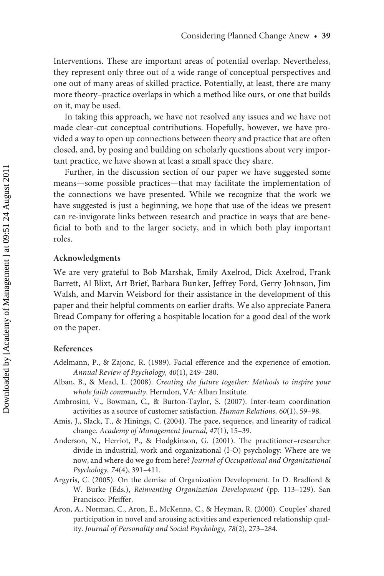Interventions. These are important areas of potential overlap. Nevertheless, they represent only three out of a wide range of conceptual perspectives and one out of many areas of skilled practice. Potentially, at least, there are many more theory–practice overlaps in which a method like ours, or one that builds on it, may be used.

In taking this approach, we have not resolved any issues and we have not made clear-cut conceptual contributions. Hopefully, however, we have provided a way to open up connections between theory and practice that are often closed, and, by posing and building on scholarly questions about very important practice, we have shown at least a small space they share.

Further, in the discussion section of our paper we have suggested some means—some possible practices—that may facilitate the implementation of the connections we have presented. While we recognize that the work we have suggested is just a beginning, we hope that use of the ideas we present can re-invigorate links between research and practice in ways that are beneficial to both and to the larger society, and in which both play important roles.

## **Acknowledgments**

We are very grateful to Bob Marshak, Emily Axelrod, Dick Axelrod, Frank Barrett, Al Blixt, Art Brief, Barbara Bunker, Jeffrey Ford, Gerry Johnson, Jim Walsh, and Marvin Weisbord for their assistance in the development of this paper and their helpful comments on earlier drafts. We also appreciate Panera Bread Company for offering a hospitable location for a good deal of the work on the paper.

## **References**

- Adelmann, P., & Zajonc, R. (1989). Facial efference and the experience of emotion. *Annual Review of Psychology, 40*(1), 249–280.
- Alban, B., & Mead, L. (2008). *Creating the future together: Methods to inspire your whole faith community.* Herndon, VA: Alban Institute.
- Ambrosini, V., Bowman, C., & Burton-Taylor, S. (2007). Inter-team coordination activities as a source of customer satisfaction. *Human Relations, 60*(1), 59–98.
- Amis, J., Slack, T., & Hinings, C. (2004). The pace, sequence, and linearity of radical change. *Academy of Management Journal, 47*(1), 15–39.
- Anderson, N., Herriot, P., & Hodgkinson, G. (2001). The practitioner–researcher divide in industrial, work and organizational (I-O) psychology: Where are we now, and where do we go from here? *Journal of Occupational and Organizational Psychology, 74*(4), 391–411.
- Argyris, C. (2005). On the demise of Organization Development. In D. Bradford & W. Burke (Eds.), *Reinventing Organization Development* (pp. 113–129). San Francisco: Pfeiffer.
- Aron, A., Norman, C., Aron, E., McKenna, C., & Heyman, R. (2000). Couples' shared participation in novel and arousing activities and experienced relationship quality. *Journal of Personality and Social Psychology, 78*(2), 273–284.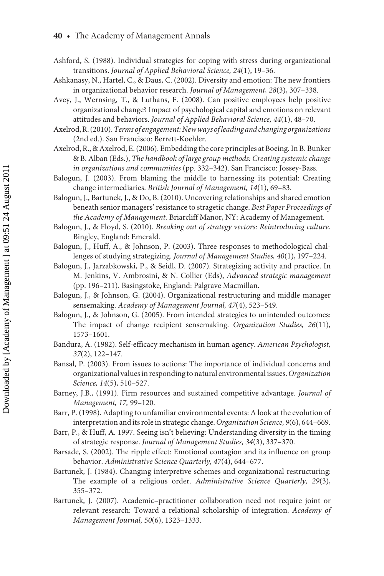Ashford, S. (1988). Individual strategies for coping with stress during organizational transitions. *Journal of Applied Behavioral Science, 24*(1), 19–36.

Ashkanasy, N., Hartel, C., & Daus, C. (2002). Diversity and emotion: The new frontiers in organizational behavior research. *Journal of Management, 28*(3), 307–338.

Avey, J., Wernsing, T., & Luthans, F. (2008). Can positive employees help positive organizational change? Impact of psychological capital and emotions on relevant attitudes and behaviors. *Journal of Applied Behavioral Science, 44*(1), 48–70.

Axelrod, R. (2010).*Terms of engagement: New ways of leading and changing organizations* (2nd ed.). San Francisco: Berrett-Koehler.

Axelrod, R., & Axelrod, E. (2006). Embedding the core principles at Boeing. In B. Bunker & B. Alban (Eds.), *The handbook of large group methods: Creating systemic change in organizations and communities* (pp. 332–342). San Francisco: Jossey-Bass.

Balogun, J. (2003). From blaming the middle to harnessing its potential: Creating change intermediaries. *British Journal of Management, 14*(1), 69–83.

Balogun, J., Bartunek, J., & Do, B. (2010). Uncovering relationships and shared emotion beneath senior managers' resistance to stragetic change. *Best Paper Proceedings of the Academy of Management.* Briarcliff Manor, NY: Academy of Management.

Balogun, J., & Floyd, S. (2010). *Breaking out of strategy vectors: Reintroducing culture.* Bingley, England: Emerald.

Balogun, J., Huff, A., & Johnson, P. (2003). Three responses to methodological challenges of studying strategizing. *Journal of Management Studies, 40*(1), 197–224.

Balogun, J., Jarzabkowski, P., & Seidl, D. (2007). Strategizing activity and practice. In M. Jenkins, V. Ambrosini, & N. Collier (Eds), *Advanced strategic management* (pp. 196–211). Basingstoke, England: Palgrave Macmillan.

Balogun, J., & Johnson, G. (2004). Organizational restructuring and middle manager sensemaking. *Academy of Management Journal, 47*(4), 523–549.

Balogun, J., & Johnson, G. (2005). From intended strategies to unintended outcomes: The impact of change recipient sensemaking. *Organization Studies, 26*(11), 1573–1601.

- Bandura, A. (1982). Self-efficacy mechanism in human agency. *American Psychologist, 37*(2), 122–147.
- Bansal, P. (2003). From issues to actions: The importance of individual concerns and organizational values in responding to natural environmental issues. *Organization Science, 14*(5), 510–527.
- Barney, J.B., (1991). Firm resources and sustained competitive advantage. *Journal of Management, 17,* 99–120.

Barr, P. (1998). Adapting to unfamiliar environmental events: A look at the evolution of interpretation and its role in strategic change. *Organization Science, 9*(6), 644–669.

Barr, P., & Huff, A. 1997. Seeing isn't believing: Understanding diversity in the timing of strategic response. *Journal of Management Studies, 34*(3), 337–370.

- Barsade, S. (2002). The ripple effect: Emotional contagion and its influence on group behavior. *Administrative Science Quarterly, 47*(4), 644–677.
- Bartunek, J. (1984). Changing interpretive schemes and organizational restructuring: The example of a religious order. *Administrative Science Quarterly, 29*(3), 355–372.
- Bartunek, J. (2007). Academic–practitioner collaboration need not require joint or relevant research: Toward a relational scholarship of integration. *Academy of Management Journal, 50*(6), 1323–1333.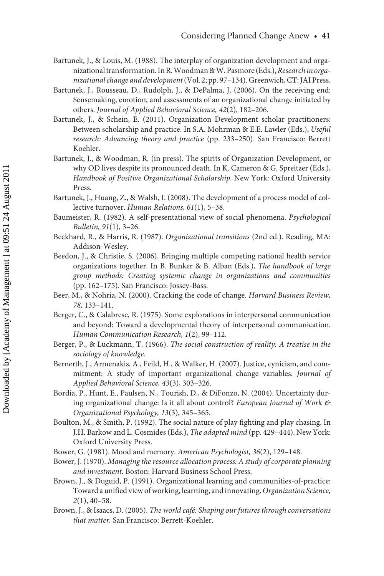- Bartunek, J., & Louis, M. (1988). The interplay of organization development and organizational transformation. In R. Woodman & W. Pasmore (Eds.),*Research in organizational change and development* (Vol. 2; pp. 97–134). Greenwich, CT: JAI Press.
- Bartunek, J., Rousseau, D., Rudolph, J., & DePalma, J. (2006). On the receiving end: Sensemaking, emotion, and assessments of an organizational change initiated by others. *Journal of Applied Behavioral Science, 42*(2), 182–206.
- Bartunek, J., & Schein, E. (2011). Organization Development scholar practitioners: Between scholarship and practice. In S.A. Mohrman & E.E. Lawler (Eds.), *Useful research: Advancing theory and practice* (pp. 233–250). San Francisco: Berrett Koehler.
- Bartunek, J., & Woodman, R. (in press). The spirits of Organization Development, or why OD lives despite its pronounced death. In K. Cameron & G. Spreitzer (Eds.), *Handbook of Positive Organizational Scholarship.* New York: Oxford University Press.
- Bartunek, J., Huang, Z., & Walsh, I. (2008). The development of a process model of collective turnover. *Human Relations, 61*(1), 5–38.
- Baumeister, R. (1982). A self-presentational view of social phenomena. *Psychological Bulletin, 91*(1), 3–26.
- Beckhard, R., & Harris, R. (1987). *Organizational transitions* (2nd ed.). Reading, MA: Addison-Wesley.
- Beedon, J., & Christie, S. (2006). Bringing multiple competing national health service organizations together. In B. Bunker & B. Alban (Eds.), *The handbook of large group methods: Creating systemic change in organizations and communities* (pp. 162–175). San Francisco: Jossey-Bass.
- Beer, M., & Nohria, N. (2000). Cracking the code of change. *Harvard Business Review, 78,* 133–141.
- Berger, C., & Calabrese, R. (1975). Some explorations in interpersonal communication and beyond: Toward a developmental theory of interpersonal communication. *Human Communication Research, 1*(2), 99–112.
- Berger, P., & Luckmann, T. (1966). *The social construction of reality: A treatise in the sociology of knowledge.*
- Bernerth, J., Armenakis, A., Feild, H., & Walker, H. (2007). Justice, cynicism, and commitment: A study of important organizational change variables. *Journal of Applied Behavioral Science, 43*(3), 303–326.
- Bordia, P., Hunt, E., Paulsen, N., Tourish, D., & DiFonzo, N. (2004). Uncertainty during organizational change: Is it all about control? *European Journal of Work & Organizational Psychology, 13*(3), 345–365.
- Boulton, M., & Smith, P. (1992). The social nature of play fighting and play chasing. In J.H. Barkow and L. Cosmides (Eds.), *The adapted mind* (pp. 429–444). New York: Oxford University Press.
- Bower, G. (1981). Mood and memory. *American Psychologist, 36*(2), 129–148.
- Bower, J. (1970). *Managing the resource allocation process: A study of corporate planning and investment.* Boston: Harvard Business School Press.
- Brown, J., & Duguid, P. (1991). Organizational learning and communities-of-practice: Toward a unified view of working, learning, and innovating. *Organization Science, 2*(1), 40–58.
- Brown, J., & Isaacs, D. (2005). *The world café: Shaping our futures through conversations that matter.* San Francisco: Berrett-Koehler.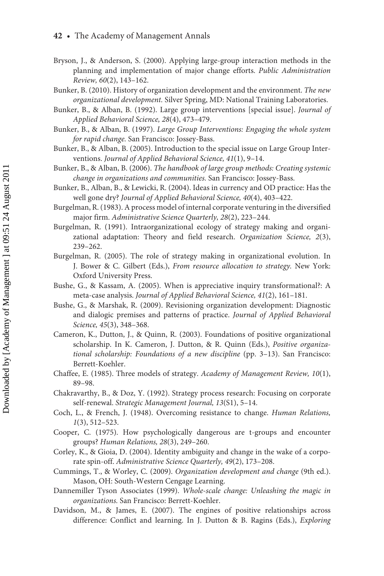- Bryson, J., & Anderson, S. (2000). Applying large-group interaction methods in the planning and implementation of major change efforts. *Public Administration Review, 60*(2), 143–162.
- Bunker, B. (2010). History of organization development and the environment. *The new organizational development.* Silver Spring, MD: National Training Laboratories.
- Bunker, B., & Alban, B. (1992). Large group interventions [special issue]. *Journal of Applied Behavioral Science, 28*(4), 473–479.
- Bunker, B., & Alban, B. (1997). *Large Group Interventions: Engaging the whole system for rapid change.* San Francisco: Jossey-Bass.
- Bunker, B., & Alban, B. (2005). Introduction to the special issue on Large Group Interventions. *Journal of Applied Behavioral Science, 41*(1), 9–14.
- Bunker, B., & Alban, B. (2006). *The handbook of large group methods: Creating systemic change in organizations and communities.* San Francisco: Jossey-Bass.
- Bunker, B., Alban, B., & Lewicki, R. (2004). Ideas in currency and OD practice: Has the well gone dry? *Journal of Applied Behavioral Science, 40*(4), 403–422.
- Burgelman, R. (1983). A process model of internal corporate venturing in the diversified major firm. *Administrative Science Quarterly, 28*(2), 223–244.
- Burgelman, R. (1991). Intraorganizational ecology of strategy making and organizational adaptation: Theory and field research. *Organization Science, 2*(3), 239–262.
- Burgelman, R. (2005). The role of strategy making in organizational evolution. In J. Bower & C. Gilbert (Eds.), *From resource allocation to strategy.* New York: Oxford University Press.
- Bushe, G., & Kassam, A. (2005). When is appreciative inquiry transformational?: A meta-case analysis. *Journal of Applied Behavioral Science, 41*(2), 161–181.
- Bushe, G., & Marshak, R. (2009). Revisioning organization development: Diagnostic and dialogic premises and patterns of practice. *Journal of Applied Behavioral Science, 45*(3), 348–368.
- Cameron, K., Dutton, J., & Quinn, R. (2003). Foundations of positive organizational scholarship. In K. Cameron, J. Dutton, & R. Quinn (Eds.), *Positive organizational scholarship: Foundations of a new discipline* (pp. 3–13). San Francisco: Berrett-Koehler.
- Chaffee, E. (1985). Three models of strategy. *Academy of Management Review, 10*(1), 89–98.
- Chakravarthy, B., & Doz, Y. (1992). Strategy process research: Focusing on corporate self-renewal. *Strategic Management Journal, 13*(S1), 5–14.
- Coch, L., & French, J. (1948). Overcoming resistance to change. *Human Relations, 1*(3), 512–523.
- Cooper, C. (1975). How psychologically dangerous are t-groups and encounter groups? *Human Relations, 28*(3), 249–260.
- Corley, K., & Gioia, D. (2004). Identity ambiguity and change in the wake of a corporate spin-off. *Administrative Science Quarterly, 49*(2), 173–208.
- Cummings, T., & Worley, C. (2009). *Organization development and change* (9th ed.). Mason, OH: South-Western Cengage Learning.
- Dannemiller Tyson Associates (1999). *Whole-scale change: Unleashing the magic in organizations.* San Francisco: Berrett-Koehler.
- Davidson, M., & James, E. (2007). The engines of positive relationships across difference: Conflict and learning. In J. Dutton & B. Ragins (Eds.), *Exploring*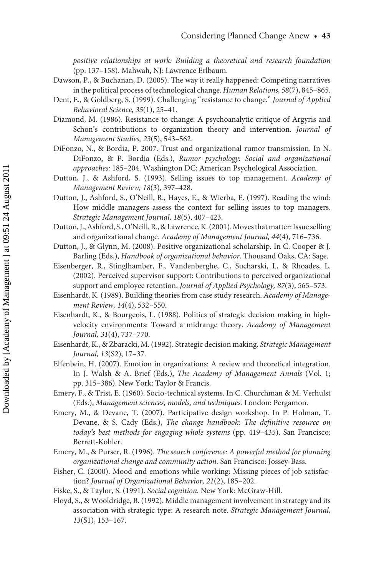*positive relationships at work: Building a theoretical and research foundation* (pp. 137–158). Mahwah, NJ: Lawrence Erlbaum.

- Dawson, P., & Buchanan, D. (2005). The way it really happened: Competing narratives in the political process of technological change. *Human Relations, 58*(7), 845–865.
- Dent, E., & Goldberg, S. (1999). Challenging "resistance to change." *Journal of Applied Behavioral Science, 35*(1), 25–41.
- Diamond, M. (1986). Resistance to change: A psychoanalytic critique of Argyris and Schon's contributions to organization theory and intervention. *Journal of Management Studies, 23*(5), 543–562.
- DiFonzo, N., & Bordia, P. 2007. Trust and organizational rumor transmission. In N. DiFonzo, & P. Bordia (Eds.), *Rumor psychology: Social and organizational approaches:* 185–204. Washington DC: American Psychological Association.
- Dutton, J., & Ashford, S. (1993). Selling issues to top management. *Academy of Management Review, 18*(3), 397–428.
- Dutton, J., Ashford, S., O'Neill, R., Hayes, E., & Wierba, E. (1997). Reading the wind: How middle managers assess the context for selling issues to top managers. *Strategic Management Journal, 18*(5), 407–423.
- Dutton, J., Ashford, S., O'Neill, R., & Lawrence, K. (2001). Moves that matter: Issue selling and organizational change. *Academy of Management Journal, 44*(4), 716–736.
- Dutton, J., & Glynn, M. (2008). Positive organizational scholarship. In C. Cooper & J. Barling (Eds.), *Handbook of organizational behavior.* Thousand Oaks, CA: Sage.
- Eisenberger, R., Stinglhamber, F., Vandenberghe, C., Sucharski, I., & Rhoades, L. (2002). Perceived supervisor support: Contributions to perceived organizational support and employee retention. *Journal of Applied Psychology, 87*(3), 565–573.
- Eisenhardt, K. (1989). Building theories from case study research. *Academy of Management Review, 14*(4), 532–550.
- Eisenhardt, K., & Bourgeois, L. (1988). Politics of strategic decision making in highvelocity environments: Toward a midrange theory. *Academy of Management Journal, 31*(4), 737–770.
- Eisenhardt, K., & Zbaracki, M. (1992). Strategic decision making. *Strategic Management Journal, 13*(S2), 17–37.
- Elfenbein, H. (2007). Emotion in organizations: A review and theoretical integration. In J. Walsh & A. Brief (Eds.), *The Academy of Management Annals* (Vol. 1; pp. 315–386). New York: Taylor & Francis.
- Emery, F., & Trist, E. (1960). Socio-technical systems. In C. Churchman & M. Verhulst (Eds.), *Management sciences, models, and techniques.* London: Pergamon.
- Emery, M., & Devane, T. (2007). Participative design workshop. In P. Holman, T. Devane, & S. Cady (Eds.), *The change handbook: The definitive resource on today's best methods for engaging whole systems* (pp. 419–435). San Francisco: Berrett-Kohler.
- Emery, M., & Purser, R. (1996). *The search conference: A powerful method for planning organizational change and community action.* San Francisco: Jossey-Bass.
- Fisher, C. (2000). Mood and emotions while working: Missing pieces of job satisfaction? *Journal of Organizational Behavior, 21*(2), 185–202.
- Fiske, S., & Taylor, S. (1991). *Social cognition.* New York: McGraw-Hill.
- Floyd, S., & Wooldridge, B. (1992). Middle management involvement in strategy and its association with strategic type: A research note. *Strategic Management Journal, 13*(S1), 153–167.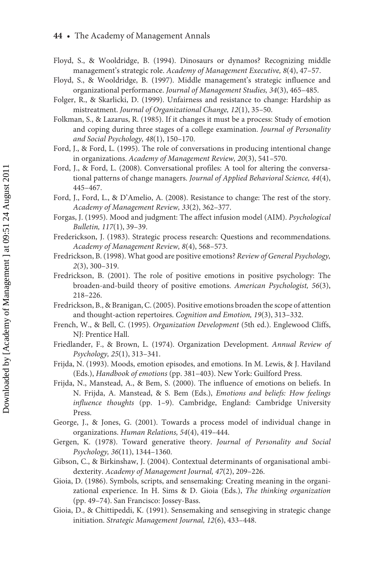- Floyd, S., & Wooldridge, B. (1994). Dinosaurs or dynamos? Recognizing middle management's strategic role. *Academy of Management Executive, 8*(4), 47–57.
- Floyd, S., & Wooldridge, B. (1997). Middle management's strategic influence and organizational performance. *Journal of Management Studies, 34*(3), 465–485.
- Folger, R., & Skarlicki, D. (1999). Unfairness and resistance to change: Hardship as mistreatment. *Journal of Organizational Change, 12*(1), 35–50.
- Folkman, S., & Lazarus, R. (1985). If it changes it must be a process: Study of emotion and coping during three stages of a college examination. *Journal of Personality and Social Psychology, 48*(1), 150–170.
- Ford, J., & Ford, L. (1995). The role of conversations in producing intentional change in organizations. *Academy of Management Review, 20*(3), 541–570.
- Ford, J., & Ford, L. (2008). Conversational profiles: A tool for altering the conversational patterns of change managers. *Journal of Applied Behavioral Science, 44*(4), 445–467.
- Ford, J., Ford, L., & D'Amelio, A. (2008). Resistance to change: The rest of the story. *Academy of Management Review, 33*(2), 362–377.
- Forgas, J. (1995). Mood and judgment: The affect infusion model (AIM). *Psychological Bulletin, 117*(1), 39–39.
- Frederickson, J. (1983). Strategic process research: Questions and recommendations. *Academy of Management Review, 8*(4), 568–573.
- Fredrickson, B. (1998). What good are positive emotions? *Review of General Psychology, 2*(3), 300–319.
- Fredrickson, B. (2001). The role of positive emotions in positive psychology: The broaden-and-build theory of positive emotions. *American Psychologist, 56*(3), 218–226.
- Fredrickson, B., & Branigan, C. (2005). Positive emotions broaden the scope of attention and thought-action repertoires. *Cognition and Emotion, 19*(3), 313–332.
- French, W., & Bell, C. (1995). *Organization Development* (5th ed.). Englewood Cliffs, NJ: Prentice Hall.
- Friedlander, F., & Brown, L. (1974). Organization Development. *Annual Review of Psychology, 25*(1), 313–341.
- Frijda, N. (1993). Moods, emotion episodes, and emotions. In M. Lewis, & J. Haviland (Eds.), *Handbook of emotions* (pp. 381–403). New York: Guilford Press.
- Frijda, N., Manstead, A., & Bem, S. (2000). The influence of emotions on beliefs. In N. Frijda, A. Manstead, & S. Bem (Eds.), *Emotions and beliefs: How feelings influence thoughts* (pp. 1–9). Cambridge, England: Cambridge University Press.
- George, J., & Jones, G. (2001). Towards a process model of individual change in organizations. *Human Relations, 54*(4), 419–444.
- Gergen, K. (1978). Toward generative theory. *Journal of Personality and Social Psychology, 36*(11), 1344–1360.
- Gibson, C., & Birkinshaw, J. (2004). Contextual determinants of organisational ambidexterity. *Academy of Management Journal, 47*(2), 209–226.
- Gioia, D. (1986). Symbols, scripts, and sensemaking: Creating meaning in the organizational experience. In H. Sims & D. Gioia (Eds.), *The thinking organization* (pp. 49–74). San Francisco: Jossey-Bass.
- Gioia, D., & Chittipeddi, K. (1991). Sensemaking and sensegiving in strategic change initiation. *Strategic Management Journal, 12*(6), 433–448.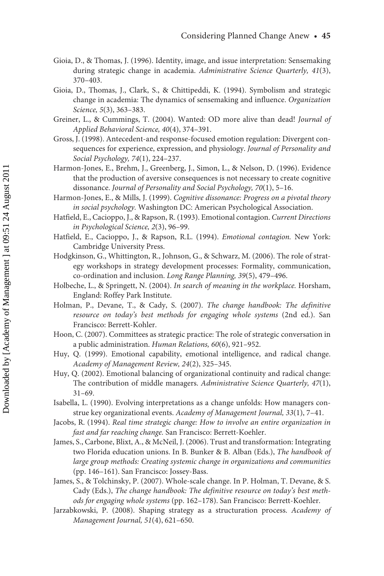- Gioia, D., & Thomas, J. (1996). Identity, image, and issue interpretation: Sensemaking during strategic change in academia. *Administrative Science Quarterly, 41*(3), 370–403.
- Gioia, D., Thomas, J., Clark, S., & Chittipeddi, K. (1994). Symbolism and strategic change in academia: The dynamics of sensemaking and influence. *Organization Science, 5*(3), 363–383.
- Greiner, L., & Cummings, T. (2004). Wanted: OD more alive than dead! *Journal of Applied Behavioral Science, 40*(4), 374–391.
- Gross, J. (1998). Antecedent-and response-focused emotion regulation: Divergent consequences for experience, expression, and physiology. *Journal of Personality and Social Psychology, 74*(1), 224–237.
- Harmon-Jones, E., Brehm, J., Greenberg, J., Simon, L., & Nelson, D. (1996). Evidence that the production of aversive consequences is not necessary to create cognitive dissonance. *Journal of Personality and Social Psychology, 70*(1), 5–16.
- Harmon-Jones, E., & Mills, J. (1999). *Cognitive dissonance: Progress on a pivotal theory in social psychology.* Washington DC: American Psychological Association.
- Hatfield, E., Cacioppo, J., & Rapson, R. (1993). Emotional contagion. *Current Directions in Psychological Science, 2*(3), 96–99.
- Hatfield, E., Cacioppo, J., & Rapson, R.L. (1994). *Emotional contagion.* New York: Cambridge University Press.
- Hodgkinson, G., Whittington, R., Johnson, G., & Schwarz, M. (2006). The role of strategy workshops in strategy development processes: Formality, communication, co-ordination and inclusion. *Long Range Planning, 39*(5), 479–496.
- Holbeche, L., & Springett, N. (2004). *In search of meaning in the workplace.* Horsham, England: Roffey Park Institute.
- Holman, P., Devane, T., & Cady, S. (2007). *The change handbook: The definitive resource on today's best methods for engaging whole systems* (2nd ed.). San Francisco: Berrett-Kohler.
- Hoon, C. (2007). Committees as strategic practice: The role of strategic conversation in a public administration. *Human Relations, 60*(6), 921–952.
- Huy, Q. (1999). Emotional capability, emotional intelligence, and radical change. *Academy of Management Review, 24*(2), 325–345.
- Huy, Q. (2002). Emotional balancing of organizational continuity and radical change: The contribution of middle managers. *Administrative Science Quarterly, 47*(1), 31–69.
- Isabella, L. (1990). Evolving interpretations as a change unfolds: How managers construe key organizational events. *Academy of Management Journal, 33*(1), 7–41.
- Jacobs, R. (1994). *Real time strategic change: How to involve an entire organization in fast and far reaching change.* San Francisco: Berrett-Koehler.
- James, S., Carbone, Blixt, A., & McNeil, J. (2006). Trust and transformation: Integrating two Florida education unions. In B. Bunker & B. Alban (Eds.), *The handbook of large group methods: Creating systemic change in organizations and communities* (pp. 146–161). San Francisco: Jossey-Bass.
- James, S., & Tolchinsky, P. (2007). Whole-scale change. In P. Holman, T. Devane, & S. Cady (Eds.), *The change handbook: The definitive resource on today's best methods for engaging whole systems* (pp. 162–178). San Francisco: Berrett-Koehler.
- Jarzabkowski, P. (2008). Shaping strategy as a structuration process. *Academy of Management Journal, 51*(4), 621–650.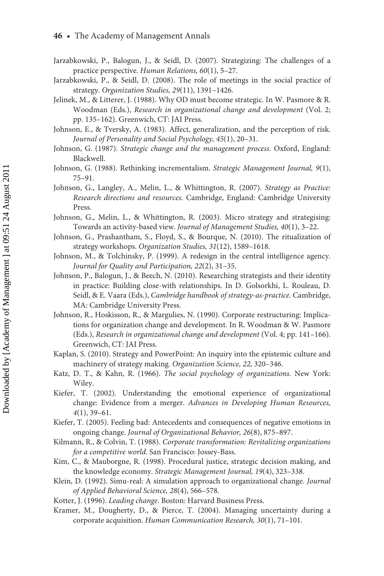- Jarzabkowski, P., Balogun, J., & Seidl, D. (2007). Strategizing: The challenges of a practice perspective. *Human Relations, 60*(1), 5–27.
- Jarzabkowski, P., & Seidl, D. (2008). The role of meetings in the social practice of strategy. *Organization Studies, 29*(11), 1391–1426.
- Jelinek, M., & Litterer, J. (1988). Why OD must become strategic. In W. Pasmore & R. Woodman (Eds.), *Research in organizational change and development* (Vol. 2; pp. 135–162). Greenwich, CT: JAI Press.
- Johnson, E., & Tversky, A. (1983). Affect, generalization, and the perception of risk. *Journal of Personality and Social Psychology, 45*(1), 20–31.
- Johnson, G. (1987). *Strategic change and the management process.* Oxford, England: Blackwell.
- Johnson, G. (1988). Rethinking incrementalism. *Strategic Management Journal, 9*(1), 75–91.
- Johnson, G., Langley, A., Melin, L., & Whittington, R. (2007). *Strategy as Practice: Research directions and resources.* Cambridge, England: Cambridge University Press.
- Johnson, G., Melin, L., & Whittington, R. (2003). Micro strategy and strategising: Towards an activity-based view. *Journal of Management Studies, 40*(1), 3–22.
- Johnson, G., Prashantham, S., Floyd, S., & Bourque, N. (2010). The ritualization of strategy workshops. *Organization Studies, 31*(12), 1589–1618.
- Johnson, M., & Tolchinsky, P. (1999). A redesign in the central intelligence agency. *Journal for Quality and Participation, 22*(2), 31–35.
- Johnson, P., Balogun, J., & Beech, N. (2010). Researching strategists and their identity in practice: Building close-with relationships. In D. Golsorkhi, L. Rouleau, D. Seidl, & E. Vaara (Eds.), *Cambridge handbook of strategy-as-practice.* Cambridge, MA: Cambridge University Press.
- Johnson, R., Hoskisson, R., & Margulies, N. (1990). Corporate restructuring: Implications for organization change and development. In R. Woodman & W. Pasmore (Eds.), *Research in organizational change and development* (Vol. 4; pp. 141–166). Greenwich, CT: JAI Press.
- Kaplan, S. (2010). Strategy and PowerPoint: An inquiry into the epistemic culture and machinery of strategy making. *Organization Science, 22,* 320–346.
- Katz, D. T., & Kahn, R. (1966). *The social psychology of organizations.* New York: Wiley.
- Kiefer, T. (2002). Understanding the emotional experience of organizational change: Evidence from a merger. *Advances in Developing Human Resources, 4*(1), 39–61.
- Kiefer, T. (2005). Feeling bad: Antecedents and consequences of negative emotions in ongoing change. *Journal of Organizational Behavior, 26*(8), 875–897.
- Kilmann, R., & Colvin, T. (1988). *Corporate transformation: Revitalizing organizations for a competitive world.* San Francisco: Jossey-Bass.
- Kim, C., & Mauborgne, R. (1998). Procedural justice, strategic decision making, and the knowledge economy. *Strategic Management Journal, 19*(4), 323–338.
- Klein, D. (1992). Simu-real: A simulation approach to organizational change. *Journal of Applied Behavioral Science, 28*(4), 566–578.
- Kotter, J. (1996). *Leading change.* Boston: Harvard Business Press.
- Kramer, M., Dougherty, D., & Pierce, T. (2004). Managing uncertainty during a corporate acquisition. *Human Communication Research, 30*(1), 71–101.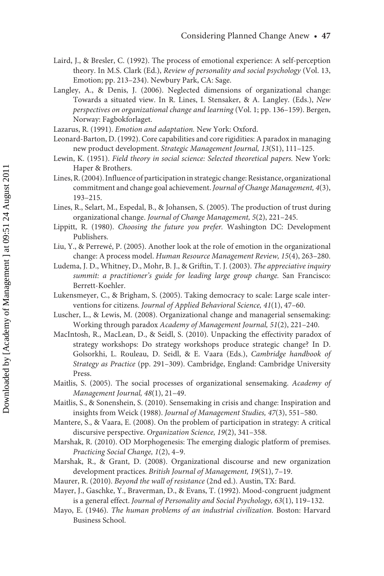- Laird, J., & Bresler, C. (1992). The process of emotional experience: A self-perception theory. In M.S. Clark (Ed.), *Review of personality and social psychology* (Vol. 13, Emotion; pp. 213–234). Newbury Park, CA: Sage.
- Langley, A., & Denis, J. (2006). Neglected dimensions of organizational change: Towards a situated view. In R. Lines, I. Stensaker, & A. Langley. (Eds.), *New perspectives on organizational change and learning* (Vol. 1; pp. 136–159). Bergen, Norway: Fagbokforlaget.
- Lazarus, R. (1991). *Emotion and adaptation.* New York: Oxford.
- Leonard-Barton, D. (1992). Core capabilities and core rigidities: A paradox in managing new product development. *Strategic Management Journal, 13*(S1), 111–125.
- Lewin, K. (1951). *Field theory in social science: Selected theoretical papers.* New York: Haper & Brothers.
- Lines, R. (2004). Influence of participation in strategic change: Resistance, organizational commitment and change goal achievement. *Journal of Change Management, 4*(3), 193–215.
- Lines, R., Selart, M., Espedal, B., & Johansen, S. (2005). The production of trust during organizational change. *Journal of Change Management, 5*(2), 221–245.
- Lippitt, R. (1980). *Choosing the future you prefer.* Washington DC: Development Publishers.
- Liu, Y., & Perrewé, P. (2005). Another look at the role of emotion in the organizational change: A process model. *Human Resource Management Review, 15*(4), 263–280.
- Ludema, J. D., Whitney, D., Mohr, B. J., & Griftin, T. J. (2003). *The appreciative inquiry summit: a practitioner's guide for leading large group change.* San Francisco: Berrett-Koehler.
- Lukensmeyer, C., & Brigham, S. (2005). Taking democracy to scale: Large scale interventions for citizens. *Journal of Applied Behavioral Science, 41*(1), 47–60.
- Luscher, L., & Lewis, M. (2008). Organizational change and managerial sensemaking: Working through paradox *Academy of Management Journal, 51*(2), 221–240.
- MacIntosh, R., MacLean, D., & Seidl, S. (2010). Unpacking the effectivity paradox of strategy workshops: Do strategy workshops produce strategic change? In D. Golsorkhi, L. Rouleau, D. Seidl, & E. Vaara (Eds.), *Cambridge handbook of Strategy as Practice* (pp. 291–309). Cambridge, England: Cambridge University Press.
- Maitlis, S. (2005). The social processes of organizational sensemaking. *Academy of Management Journal, 48*(1), 21–49.
- Maitlis, S., & Sonenshein, S. (2010). Sensemaking in crisis and change: Inspiration and insights from Weick (1988). *Journal of Management Studies, 47*(3), 551–580.
- Mantere, S., & Vaara, E. (2008). On the problem of participation in strategy: A critical discursive perspective. *Organization Science, 19*(2), 341–358.
- Marshak, R. (2010). OD Morphogenesis: The emerging dialogic platform of premises. *Practicing Social Change, 1*(2), 4–9.
- Marshak, R., & Grant, D. (2008). Organizational discourse and new organization development practices. *British Journal of Management, 19*(S1), 7–19.
- Maurer, R. (2010). *Beyond the wall of resistance* (2nd ed.). Austin, TX: Bard.
- Mayer, J., Gaschke, Y., Braverman, D., & Evans, T. (1992). Mood-congruent judgment is a general effect. *Journal of Personality and Social Psychology, 63*(1), 119–132.
- Mayo, E. (1946). *The human problems of an industrial civilization.* Boston: Harvard Business School.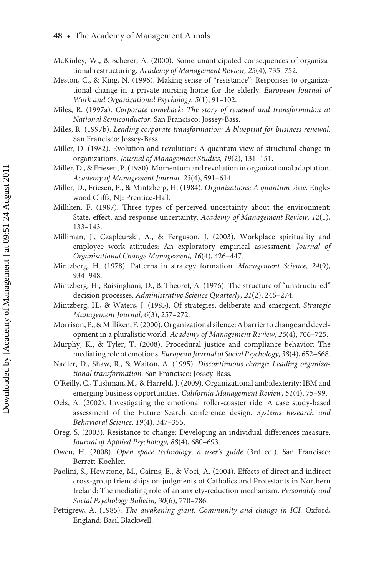- McKinley, W., & Scherer, A. (2000). Some unanticipated consequences of organizational restructuring. *Academy of Management Review, 25*(4), 735–752.
- Meston, C., & King, N. (1996). Making sense of "resistance": Responses to organizational change in a private nursing home for the elderly. *European Journal of Work and Organizational Psychology, 5*(1), 91–102.
- Miles, R. (1997a). *Corporate comeback: The story of renewal and transformation at National Semiconductor.* San Francisco: Jossey-Bass.
- Miles, R. (1997b). *Leading corporate transformation: A blueprint for business renewal.* San Francisco: Jossey-Bass.
- Miller, D. (1982). Evolution and revolution: A quantum view of structural change in organizations. *Journal of Management Studies, 19*(2), 131–151.
- Miller, D., & Friesen, P. (1980). Momentum and revolution in organizational adaptation. *Academy of Management Journal, 23*(4), 591–614.
- Miller, D., Friesen, P., & Mintzberg, H. (1984). *Organizations: A quantum view.* Englewood Cliffs, NJ: Prentice-Hall.
- Milliken, F. (1987). Three types of perceived uncertainty about the environment: State, effect, and response uncertainty. *Academy of Management Review, 12*(1), 133–143.
- Milliman, J., Czapleurski, A., & Ferguson, J. (2003). Workplace spirituality and employee work attitudes: An exploratory empirical assessment. *Journal of Organisational Change Management, 16*(4), 426–447.
- Mintzberg, H. (1978). Patterns in strategy formation. *Management Science, 24*(9), 934–948.
- Mintzberg, H., Raisinghani, D., & Theoret, A. (1976). The structure of "unstructured" decision processes. *Administrative Science Quarterly, 21*(2), 246–274.
- Mintzberg, H., & Waters, J. (1985). Of strategies, deliberate and emergent. *Strategic Management Journal, 6*(3), 257–272.
- Morrison, E., & Milliken, F. (2000). Organizational silence: A barrier to change and development in a pluralistic world. *Academy of Management Review, 25*(4), 706–725.
- Murphy, K., & Tyler, T. (2008). Procedural justice and compliance behavior: The mediating role of emotions.*European Journal of Social Psychology, 38*(4), 652–668.
- Nadler, D., Shaw, R., & Walton, A. (1995). *Discontinuous change: Leading organizational transformation.* San Francisco: Jossey-Bass.
- O'Reilly, C., Tushman, M., & Harreld, J. (2009). Organizational ambidexterity: IBM and emerging business opportunities. *California Management Review, 51*(4), 75–99.
- Oels, A. (2002). Investigating the emotional roller-coaster ride: A case study-based assessment of the Future Search conference design. *Systems Research and Behavioral Science, 19*(4), 347–355.
- Oreg, S. (2003). Resistance to change: Developing an individual differences measure. *Journal of Applied Psychology, 88*(4), 680–693.
- Owen, H. (2008). *Open space technology, a user's guide* (3rd ed.). San Francisco: Berrett-Koehler.
- Paolini, S., Hewstone, M., Cairns, E., & Voci, A. (2004). Effects of direct and indirect cross-group friendships on judgments of Catholics and Protestants in Northern Ireland: The mediating role of an anxiety-reduction mechanism. *Personality and Social Psychology Bulletin, 30*(6), 770–786.
- Pettigrew, A. (1985). *The awakening giant: Community and change in ICI.* Oxford, England: Basil Blackwell.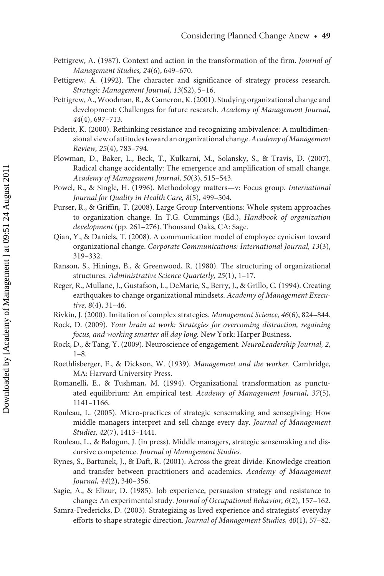- Pettigrew, A. (1987). Context and action in the transformation of the firm. *Journal of Management Studies, 24*(6), 649–670.
- Pettigrew, A. (1992). The character and significance of strategy process research. *Strategic Management Journal, 13*(S2), 5–16.
- Pettigrew, A., Woodman, R., & Cameron, K. (2001). Studying organizational change and development: Challenges for future research. *Academy of Management Journal, 44*(4), 697–713.
- Piderit, K. (2000). Rethinking resistance and recognizing ambivalence: A multidimensional view of attitudes toward an organizational change.*Academy of Management Review, 25*(4), 783–794.
- Plowman, D., Baker, L., Beck, T., Kulkarni, M., Solansky, S., & Travis, D. (2007). Radical change accidentally: The emergence and amplification of small change. *Academy of Management Journal, 50*(3), 515–543.
- Powel, R., & Single, H. (1996). Methodology matters—v: Focus group. *International Journal for Quality in Health Care, 8*(5), 499–504.
- Purser, R., & Griffin, T. (2008). Large Group Interventions: Whole system approaches to organization change. In T.G. Cummings (Ed.), *Handbook of organization development* (pp. 261–276). Thousand Oaks, CA: Sage.
- Qian, Y., & Daniels, T. (2008). A communication model of employee cynicism toward organizational change. *Corporate Communications: International Journal, 13*(3), 319–332.
- Ranson, S., Hinings, B., & Greenwood, R. (1980). The structuring of organizational structures. *Administrative Science Quarterly, 25*(1), 1–17.
- Reger, R., Mullane, J., Gustafson, L., DeMarie, S., Berry, J., & Grillo, C. (1994). Creating earthquakes to change organizational mindsets. *Academy of Management Executive, 8*(4), 31–46.
- Rivkin, J. (2000). Imitation of complex strategies. *Management Science, 46*(6), 824–844.
- Rock, D. (2009). *Your brain at work: Strategies for overcoming distraction, regaining focus, and working smarter all day long.* New York: Harper Business.
- Rock, D., & Tang, Y. (2009). Neuroscience of engagement. *NeuroLeadership Journal, 2,* 1–8.
- Roethlisberger, F., & Dickson, W. (1939). *Management and the worker.* Cambridge, MA: Harvard University Press.
- Romanelli, E., & Tushman, M. (1994). Organizational transformation as punctuated equilibrium: An empirical test. *Academy of Management Journal, 37*(5), 1141–1166.
- Rouleau, L. (2005). Micro-practices of strategic sensemaking and sensegiving: How middle managers interpret and sell change every day. *Journal of Management Studies, 42*(7), 1413–1441.
- Rouleau, L., & Balogun, J. (in press). Middle managers, strategic sensemaking and discursive competence. *Journal of Management Studies.*
- Rynes, S., Bartunek, J., & Daft, R. (2001). Across the great divide: Knowledge creation and transfer between practitioners and academics. *Academy of Management Journal, 44*(2), 340–356.
- Sagie, A., & Elizur, D. (1985). Job experience, persuasion strategy and resistance to change: An experimental study. *Journal of Occupational Behavior, 6*(2), 157–162.
- Samra-Fredericks, D. (2003). Strategizing as lived experience and strategists' everyday efforts to shape strategic direction. *Journal of Management Studies, 40*(1), 57–82.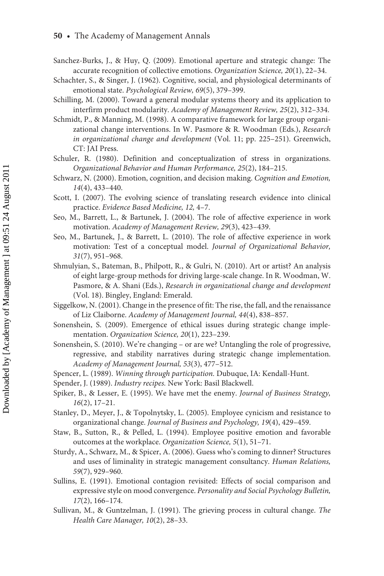Sanchez-Burks, J., & Huy, Q. (2009). Emotional aperture and strategic change: The accurate recognition of collective emotions. *Organization Science, 20*(1), 22–34.

Schachter, S., & Singer, J. (1962). Cognitive, social, and physiological determinants of emotional state. *Psychological Review, 69*(5), 379–399.

Schilling, M. (2000). Toward a general modular systems theory and its application to interfirm product modularity. *Academy of Management Review, 25*(2), 312–334.

Schmidt, P., & Manning, M. (1998). A comparative framework for large group organizational change interventions. In W. Pasmore & R. Woodman (Eds.), *Research in organizational change and development* (Vol. 11; pp. 225–251). Greenwich, CT: JAI Press.

Schuler, R. (1980). Definition and conceptualization of stress in organizations. *Organizational Behavior and Human Performance, 25*(2), 184–215.

Schwarz, N. (2000). Emotion, cognition, and decision making. *Cognition and Emotion, 14*(4), 433–440.

Scott, I. (2007). The evolving science of translating research evidence into clinical practice. *Evidence Based Medicine, 12,* 4–7.

- Seo, M., Barrett, L., & Bartunek, J. (2004). The role of affective experience in work motivation. *Academy of Management Review, 29*(3), 423–439.
- Seo, M., Bartunek, J., & Barrett, L. (2010). The role of affective experience in work motivation: Test of a conceptual model. *Journal of Organizational Behavior, 31*(7), 951–968.
- Shmulyian, S., Bateman, B., Philpott, R., & Gulri, N. (2010). Art or artist? An analysis of eight large-group methods for driving large-scale change. In R. Woodman, W. Pasmore, & A. Shani (Eds.), *Research in organizational change and development* (Vol. 18). Bingley, England: Emerald.
- Siggelkow, N. (2001). Change in the presence of fit: The rise, the fall, and the renaissance of Liz Claiborne. *Academy of Management Journal, 44*(4), 838–857.
- Sonenshein, S. (2009). Emergence of ethical issues during strategic change implementation. *Organization Science, 20*(1), 223–239.
- Sonenshein, S. (2010). We're changing or are we? Untangling the role of progressive, regressive, and stability narratives during strategic change implementation. *Academy of Management Journal, 53*(3), 477–512.
- Spencer, L. (1989). *Winning through participation.* Dubuque, IA: Kendall-Hunt.
- Spender, J. (1989). *Industry recipes.* New York: Basil Blackwell.
- Spiker, B., & Lesser, E. (1995). We have met the enemy. *Journal of Business Strategy, 16*(2), 17–21.
- Stanley, D., Meyer, J., & Topolnytsky, L. (2005). Employee cynicism and resistance to organizational change. *Journal of Business and Psychology, 19*(4), 429–459.
- Staw, B., Sutton, R., & Pelled, L. (1994). Employee positive emotion and favorable outcomes at the workplace. *Organization Science, 5*(1), 51–71.
- Sturdy, A., Schwarz, M., & Spicer, A. (2006). Guess who's coming to dinner? Structures and uses of liminality in strategic management consultancy. *Human Relations, 59*(7), 929–960.
- Sullins, E. (1991). Emotional contagion revisited: Effects of social comparison and expressive style on mood convergence. *Personality and Social Psychology Bulletin, 17*(2), 166–174.
- Sullivan, M., & Guntzelman, J. (1991). The grieving process in cultural change. *The Health Care Manager, 10*(2), 28–33.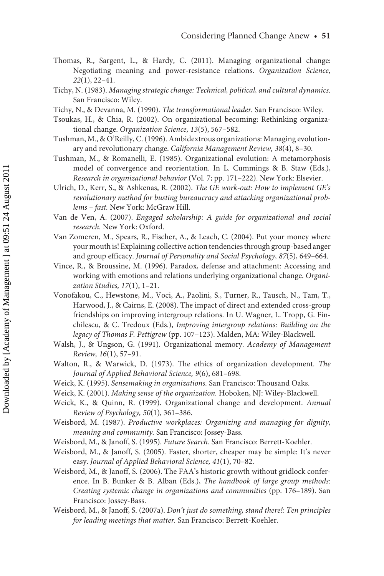- Thomas, R., Sargent, L., & Hardy, C. (2011). Managing organizational change: Negotiating meaning and power-resistance relations. *Organization Science, 22*(1), 22–41.
- Tichy, N. (1983). *Managing strategic change: Technical, political, and cultural dynamics.* San Francisco: Wiley.
- Tichy, N., & Devanna, M. (1990). *The transformational leader.* San Francisco: Wiley.
- Tsoukas, H., & Chia, R. (2002). On organizational becoming: Rethinking organizational change. *Organization Science, 13*(5), 567–582.
- Tushman, M., & O'Reilly, C. (1996). Ambidextrous organizations: Managing evolutionary and revolutionary change. *California Management Review, 38*(4), 8–30.
- Tushman, M., & Romanelli, E. (1985). Organizational evolution: A metamorphosis model of convergence and reorientation. In L. Cummings & B. Staw (Eds.), *Research in organizational behavior* (Vol. 7; pp. 171–222). New York: Elsevier.
- Ulrich, D., Kerr, S., & Ashkenas, R. (2002). *The GE work-out: How to implement GE's revolutionary method for busting bureaucracy and attacking organizational problems – fast.* New York: McGraw Hill.
- Van de Ven, A. (2007). *Engaged scholarship: A guide for organizational and social research.* New York: Oxford.
- Van Zomeren, M., Spears, R., Fischer, A., & Leach, C. (2004). Put your money where your mouth is! Explaining collective action tendencies through group-based anger and group efficacy. *Journal of Personality and Social Psychology, 87*(5), 649–664.
- Vince, R., & Broussine, M. (1996). Paradox, defense and attachment: Accessing and working with emotions and relations underlying organizational change. *Organization Studies, 17*(1), 1–21.
- Vonofakou, C., Hewstone, M., Voci, A., Paolini, S., Turner, R., Tausch, N., Tam, T., Harwood, J., & Cairns, E. (2008). The impact of direct and extended cross-group friendships on improving intergroup relations. In U. Wagner, L. Tropp, G. Finchilescu, & C. Tredoux (Eds.), *Improving intergroup relations: Building on the legacy of Thomas F. Pettigrew* (pp. 107–123). Malden, MA: Wiley-Blackwell.
- Walsh, J., & Ungson, G. (1991). Organizational memory. *Academy of Management Review, 16*(1), 57–91.
- Walton, R., & Warwick, D. (1973). The ethics of organization development. *The Journal of Applied Behavioral Science, 9*(6), 681–698.
- Weick, K. (1995). *Sensemaking in organizations.* San Francisco: Thousand Oaks.
- Weick, K. (2001). *Making sense of the organization.* Hoboken, NJ: Wiley-Blackwell.
- Weick, K., & Quinn, R. (1999). Organizational change and development. *Annual Review of Psychology, 50*(1), 361–386.
- Weisbord, M. (1987). *Productive workplaces: Organizing and managing for dignity, meaning and community.* San Francisco: Jossey-Bass.
- Weisbord, M., & Janoff, S. (1995). *Future Search.* San Francisco: Berrett-Koehler.
- Weisbord, M., & Janoff, S. (2005). Faster, shorter, cheaper may be simple: It's never easy. *Journal of Applied Behavioral Science, 41*(1), 70–82.
- Weisbord, M., & Janoff, S. (2006). The FAA's historic growth without gridlock conference. In B. Bunker & B. Alban (Eds.), *The handbook of large group methods: Creating systemic change in organizations and communities* (pp. 176–189). San Francisco: Jossey-Bass.
- Weisbord, M., & Janoff, S. (2007a). *Don't just do something, stand there!: Ten principles for leading meetings that matter.* San Francisco: Berrett-Koehler.